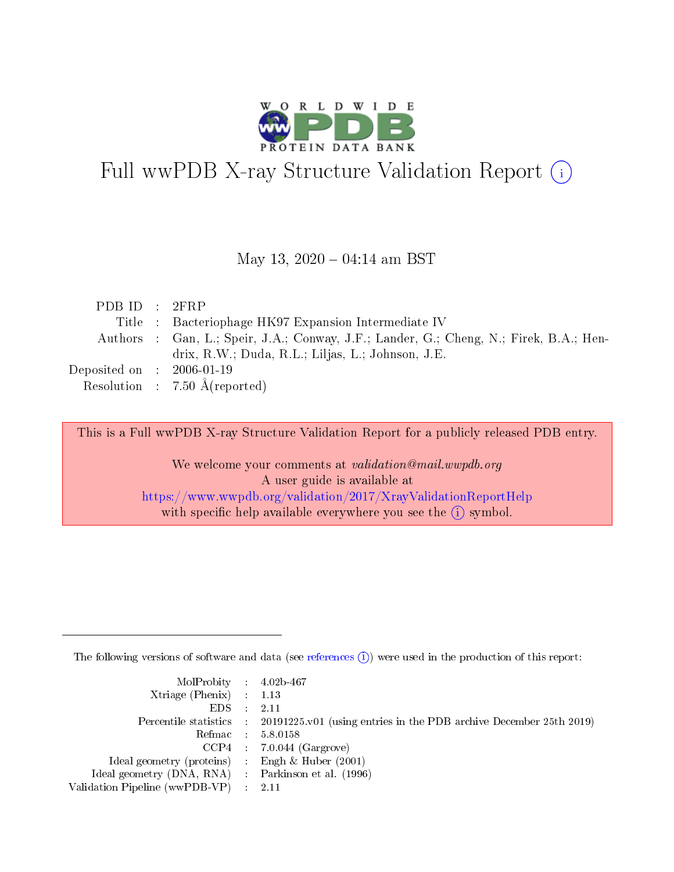

# Full wwPDB X-ray Structure Validation Report (i)

#### May 13,  $2020 - 04:14$  am BST

| PDBID : 2FRP                |                                                                                        |
|-----------------------------|----------------------------------------------------------------------------------------|
|                             | Title : Bacteriophage HK97 Expansion Intermediate IV                                   |
|                             | Authors : Gan, L.; Speir, J.A.; Conway, J.F.; Lander, G.; Cheng, N.; Firek, B.A.; Hen- |
|                             | drix, R.W.; Duda, R.L.; Liljas, L.; Johnson, J.E.                                      |
| Deposited on : $2006-01-19$ |                                                                                        |
|                             | Resolution : 7.50 $\AA$ (reported)                                                     |

This is a Full wwPDB X-ray Structure Validation Report for a publicly released PDB entry.

We welcome your comments at validation@mail.wwpdb.org A user guide is available at <https://www.wwpdb.org/validation/2017/XrayValidationReportHelp> with specific help available everywhere you see the  $(i)$  symbol.

The following versions of software and data (see [references](https://www.wwpdb.org/validation/2017/XrayValidationReportHelp#references)  $(i)$ ) were used in the production of this report:

| MolProbity : 4.02b-467                              |                                                                                            |
|-----------------------------------------------------|--------------------------------------------------------------------------------------------|
| $Xtriangle (Phenix)$ : 1.13                         |                                                                                            |
| $EDS = 2.11$                                        |                                                                                            |
|                                                     | Percentile statistics : 20191225.v01 (using entries in the PDB archive December 25th 2019) |
|                                                     | Refmac : 5.8.0158                                                                          |
|                                                     | $CCP4$ 7.0.044 (Gargrove)                                                                  |
| Ideal geometry (proteins) : Engh $\&$ Huber (2001)  |                                                                                            |
| Ideal geometry (DNA, RNA) : Parkinson et al. (1996) |                                                                                            |
| Validation Pipeline (wwPDB-VP) : 2.11               |                                                                                            |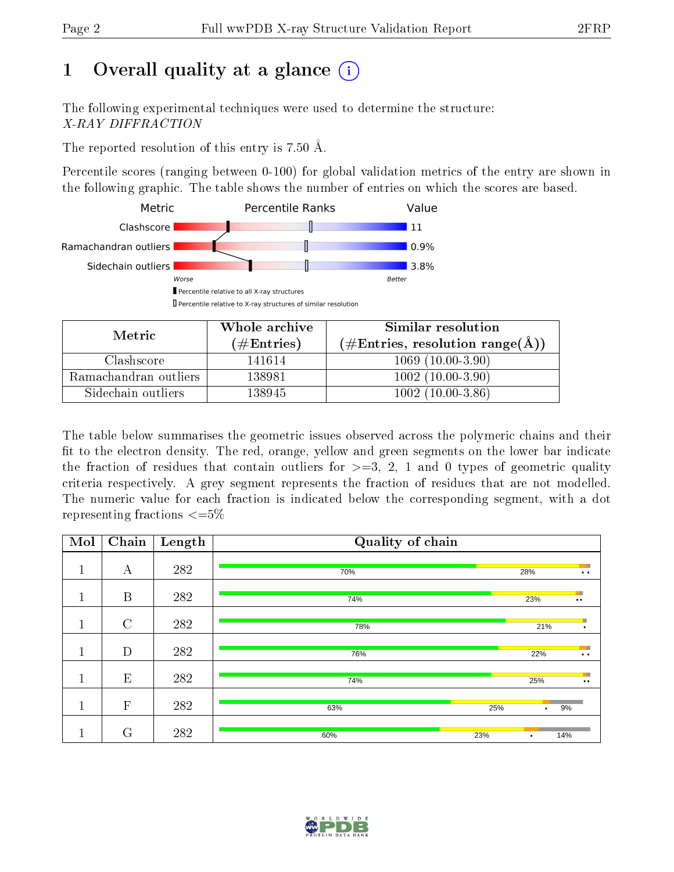# 1 [O](https://www.wwpdb.org/validation/2017/XrayValidationReportHelp#overall_quality)verall quality at a glance  $(i)$

The following experimental techniques were used to determine the structure: X-RAY DIFFRACTION

The reported resolution of this entry is 7.50 Å.

Percentile scores (ranging between 0-100) for global validation metrics of the entry are shown in the following graphic. The table shows the number of entries on which the scores are based.



| Metric                | Whole archive       | Similar resolution                                       |  |  |
|-----------------------|---------------------|----------------------------------------------------------|--|--|
|                       | (# $\rm{Entries}$ ) | $(\#\text{Entries}, \text{resolution range}(\text{\AA})$ |  |  |
| Clashscore            | 141614              | $1069(10.00-3.90)$                                       |  |  |
| Ramachandran outliers | 138981              | $1002(10.00-3.90)$                                       |  |  |
| Sidechain outliers    | 138945              | $1002(10.00-3.86)$                                       |  |  |

The table below summarises the geometric issues observed across the polymeric chains and their fit to the electron density. The red, orange, yellow and green segments on the lower bar indicate the fraction of residues that contain outliers for  $\geq=3$ , 2, 1 and 0 types of geometric quality criteria respectively. A grey segment represents the fraction of residues that are not modelled. The numeric value for each fraction is indicated below the corresponding segment, with a dot representing fractions  $\leq=5\%$ 

| Mol     | $\overline{\text{Chain}}$ | Length | Quality of chain |     |           |                                |
|---------|---------------------------|--------|------------------|-----|-----------|--------------------------------|
| T       | А                         | 282    | 70%              |     | 28%       | n e<br>$\ddot{\phantom{0}}$    |
| 1<br>Ŧ. | $\boldsymbol{B}$          | 282    | 74%              |     | 23%       | <b>Fil</b><br>$\bullet\bullet$ |
|         | $\overline{C}$            | 282    | 78%              |     | 21%       | п<br>$\bullet$                 |
|         | D                         | 282    | 76%              |     | 22%       | ٠<br>$\ddot{\phantom{0}}$      |
| 1<br>T. | E                         | 282    | 74%              |     | 25%       | m<br>$\bullet\bullet$          |
| п       | $\mathbf{F}$              | 282    | 63%              | 25% | $\bullet$ | 9%                             |
|         | G                         | 282    | 60%              | 23% | 14%<br>٠  |                                |

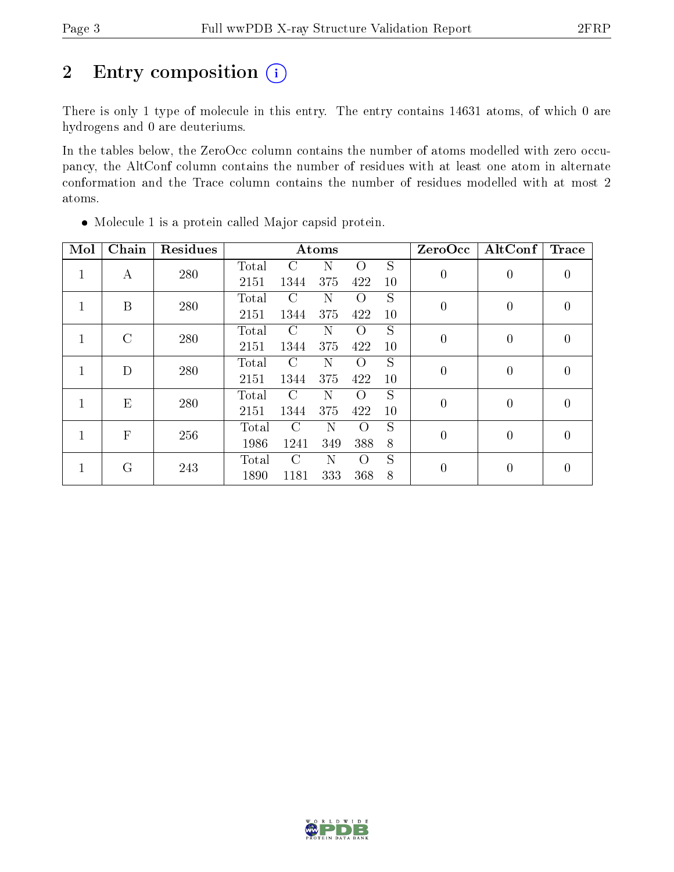# 2 Entry composition  $(i)$

There is only 1 type of molecule in this entry. The entry contains 14631 atoms, of which 0 are hydrogens and 0 are deuteriums.

In the tables below, the ZeroOcc column contains the number of atoms modelled with zero occupancy, the AltConf column contains the number of residues with at least one atom in alternate conformation and the Trace column contains the number of residues modelled with at most 2 atoms.

| Mol | Chain          | Residues |       |               | Atoms |                  |                | ZeroOcc          | AltConf        | <b>Trace</b>   |
|-----|----------------|----------|-------|---------------|-------|------------------|----------------|------------------|----------------|----------------|
| 1   | A              | 280      | Total | C             | N     | $\Omega$         | S              | $\boldsymbol{0}$ | 0              | $\theta$       |
|     |                |          | 2151  | 1344          | 375   | 422              | 10             |                  |                |                |
| 1   | B              | 280      | Total | C             | N     | $\Omega$         | S              | $\boldsymbol{0}$ | $\overline{0}$ | $\overline{0}$ |
|     |                |          | 2151  | 1344          | 375   | 422              | 10             |                  |                |                |
| 1   | $\overline{C}$ | 280      | Total | $\mathcal{C}$ | N     | $\Omega$         | S              | $\overline{0}$   | 0              | $\theta$       |
|     |                |          | 2151  | 1344          | 375   | 422              | 10             |                  |                |                |
|     | D              | 280      | Total | $\mathcal{C}$ | N     | Ω                | S              | $\overline{0}$   | 0              | $\theta$       |
|     |                |          | 2151  | 1344          | 375   | 422              | 10             |                  |                |                |
|     | E              | 280      | Total | $\Gamma$      | N     | $\left( \right)$ | S              | $\overline{0}$   | $\theta$       | $\theta$       |
|     |                |          | 2151  | 1344          | 375   | 422              | 10             |                  |                |                |
|     | $\overline{F}$ | 256      | Total | $\mathcal{C}$ | N     | $\Omega$         | S              | $\overline{0}$   | $\theta$       | $\theta$       |
|     |                |          | 1986  | 1241          | 349   | 388              | 8              |                  |                |                |
|     | G              | 243      | Total | $\subset$     | N     | $\Omega$         | $\overline{S}$ | $\overline{0}$   | $\theta$       | $\theta$       |
|     |                |          | 1890  | 1181          | 333   | 368              | 8              |                  |                |                |

Molecule 1 is a protein called Major capsid protein.

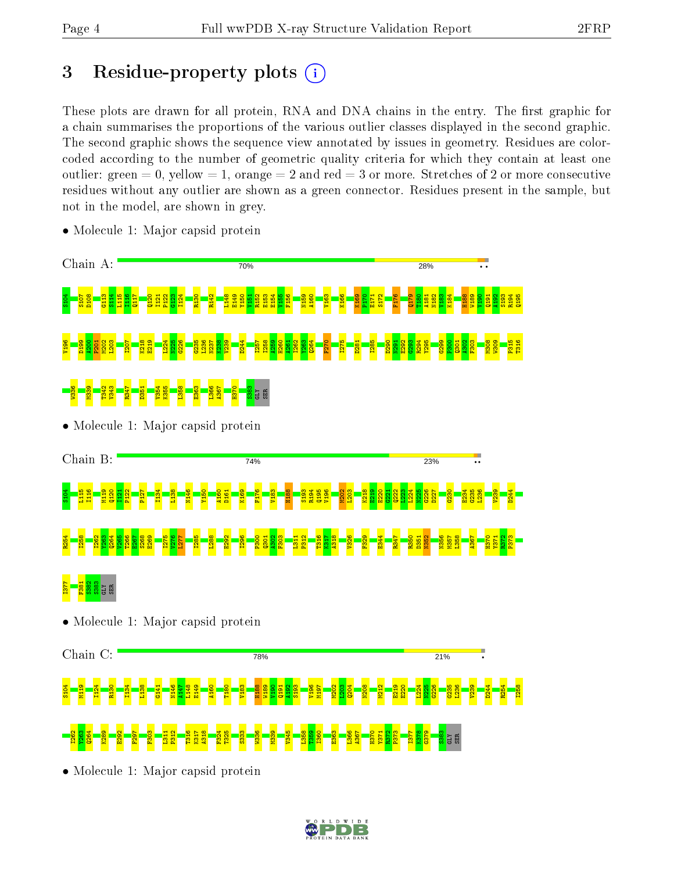# 3 Residue-property plots  $(i)$

These plots are drawn for all protein, RNA and DNA chains in the entry. The first graphic for a chain summarises the proportions of the various outlier classes displayed in the second graphic. The second graphic shows the sequence view annotated by issues in geometry. Residues are colorcoded according to the number of geometric quality criteria for which they contain at least one outlier: green  $= 0$ , yellow  $= 1$ , orange  $= 2$  and red  $= 3$  or more. Stretches of 2 or more consecutive residues without any outlier are shown as a green connector. Residues present in the sample, but not in the model, are shown in grey.



• Molecule 1: Major capsid protein

• Molecule 1: Major capsid protein

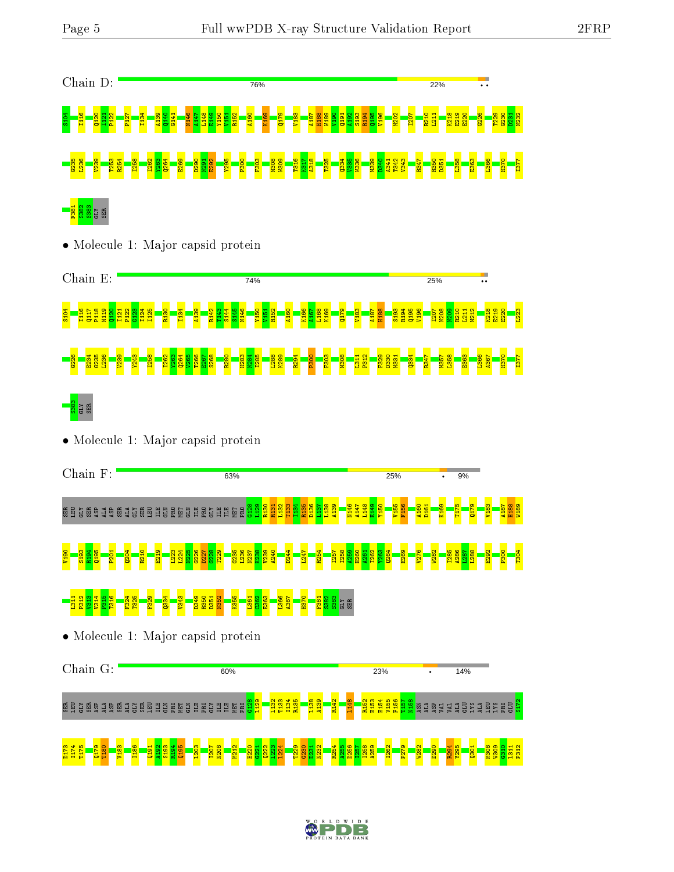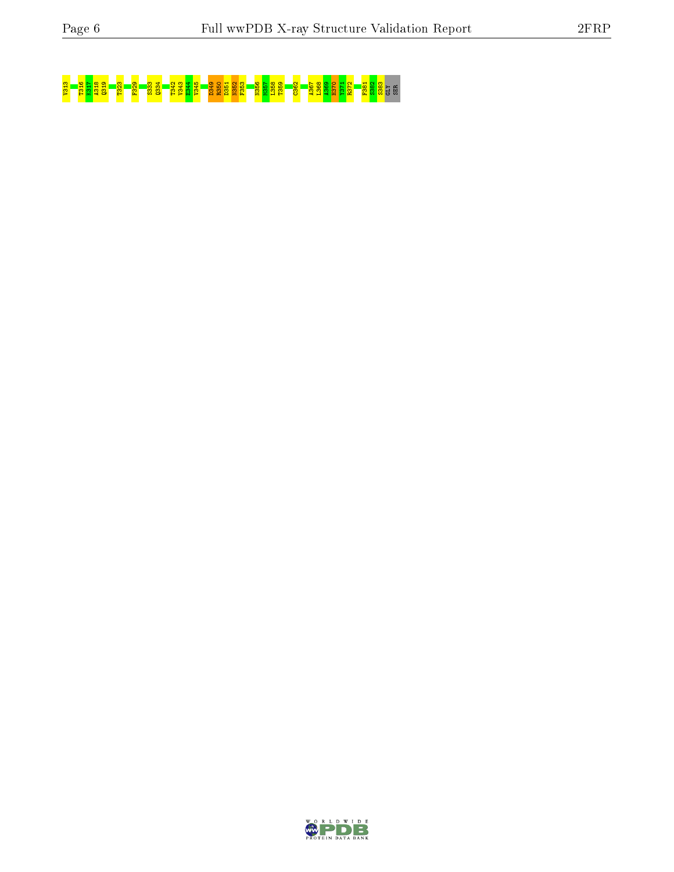# <mark>33 T316 839 T31 R318 T334 F329 S33</mark>8 E352 <mark>B358 P350 E350 E350 E350 E350 E350 E350 E35</mark><br><mark>33 F35 B350 E35 E35 E353 E353 S383 S383 B380 E350 S380 F361 S383 S581 E350 S383</mark>

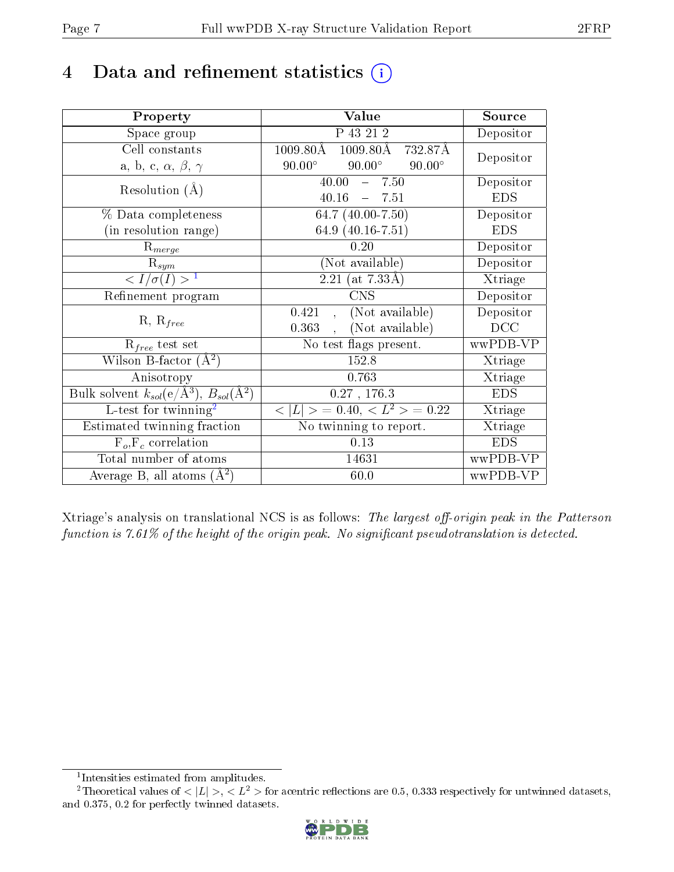# 4 Data and refinement statistics  $(i)$

| Property                                                             | Value                                           | Source     |
|----------------------------------------------------------------------|-------------------------------------------------|------------|
| Space group                                                          | P 43 21 2                                       | Depositor  |
| Cell constants                                                       | $1009.80\text{\AA}$<br>1009.80Å 732.87Å         | Depositor  |
| a, b, c, $\alpha$ , $\beta$ , $\gamma$                               | $90.00^\circ$<br>$90.00^\circ$<br>$90.00^\circ$ |            |
| Resolution $(A)$                                                     | 40.00<br>$-7.50$                                | Depositor  |
|                                                                      | 40.16<br>$-7.51$                                | <b>EDS</b> |
| % Data completeness                                                  | 64.7 $(40.00 - 7.50)$                           | Depositor  |
| (in resolution range)                                                | 64.9 $(40.16 - 7.51)$                           | <b>EDS</b> |
| $R_{merge}$                                                          | 0.20                                            | Depositor  |
| $\mathrm{R}_{sym}$                                                   | (Not available)                                 | Depositor  |
| $\overline{$ <sup>1</sup>                                            | $(2.21 \; (at \; 7.33\AA))$                     | Xtriage    |
| Refinement program                                                   | <b>CNS</b>                                      | Depositor  |
|                                                                      | (Not available)<br>0.421<br>$\sim$              | Depositor  |
| $R, R_{free}$                                                        | (Not available)<br>0.363                        | DCC        |
| $R_{free}$ test set                                                  | No test flags present.                          | wwPDB-VP   |
| Wilson B-factor $(A^2)$                                              | 152.8                                           | Xtriage    |
| Anisotropy                                                           | 0.763                                           | Xtriage    |
| Bulk solvent $k_{sol}(e/\mathring{A}^3)$ , $B_{sol}(\mathring{A}^2)$ | 0.27, 176.3                                     | <b>EDS</b> |
| $L$ -test for twinning <sup>2</sup>                                  | $< L >$ = 0.40, $< L2 >$ = 0.22                 | Xtriage    |
| Estimated twinning fraction                                          | No twinning to report.                          | Xtriage    |
| $\overline{F_o}, \overline{F_c}$ correlation                         | 0.13                                            | <b>EDS</b> |
| Total number of atoms                                                | 14631                                           | wwPDB-VP   |
| Average B, all atoms $(A^2)$                                         | 60.0                                            | wwPDB-VP   |

Xtriage's analysis on translational NCS is as follows: The largest off-origin peak in the Patterson function is  $7.61\%$  of the height of the origin peak. No significant pseudotranslation is detected.

<sup>&</sup>lt;sup>2</sup>Theoretical values of  $\langle |L| \rangle$ ,  $\langle L^2 \rangle$  for acentric reflections are 0.5, 0.333 respectively for untwinned datasets, and 0.375, 0.2 for perfectly twinned datasets.



<span id="page-6-1"></span><span id="page-6-0"></span><sup>1</sup> Intensities estimated from amplitudes.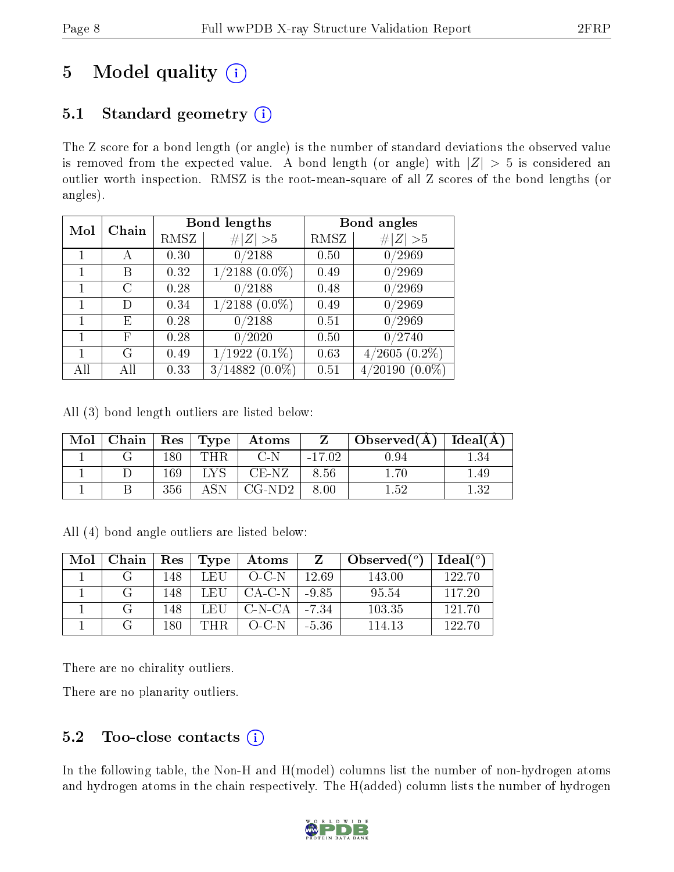# 5 Model quality  $(i)$

# 5.1 Standard geometry  $(i)$

The Z score for a bond length (or angle) is the number of standard deviations the observed value is removed from the expected value. A bond length (or angle) with  $|Z| > 5$  is considered an outlier worth inspection. RMSZ is the root-mean-square of all Z scores of the bond lengths (or angles).

| Mol | Chain |      | <b>Bond lengths</b>   | Bond angles |                             |  |
|-----|-------|------|-----------------------|-------------|-----------------------------|--|
|     |       | RMSZ | # $ Z  > 5$           | RMSZ        | # $ Z  > 5$                 |  |
|     | А     | 0.30 | 0/2188                | 0.50        | 0/2969                      |  |
|     | В     | 0.32 | $1/2188$ $(0.0\%)$    | 0.49        | 0/2969                      |  |
|     | С     | 0.28 | 0/2188                | 0.48        | 0/2969                      |  |
|     | D     | 0.34 | $1/2188$ $(0.0\%)$    | 0.49        | 0/2969                      |  |
| 1   | E     | 0.28 | 0/2188                | 0.51        | 0/2969                      |  |
| 1   | F     | 0.28 | 0/2020                | 0.50        | 0/2740                      |  |
|     | G     | 0.49 | $(1922(0.1\%)$        | 0.63        | $(2605(0.2\%)$              |  |
| All | АH    | 0.33 | $(14882(0.0\%)$<br>3/ | 0.51        | $(0.0\%)$<br>$\sqrt{20190}$ |  |

All (3) bond length outliers are listed below:

| Mol | Chain   $\text{Res}$   $\text{Type}$ |     |            | Atoms    |          | Observed(A) | Ideal(A) |
|-----|--------------------------------------|-----|------------|----------|----------|-------------|----------|
|     |                                      | 180 | <b>THR</b> | C-N      | $-17.02$ | 9.94        |          |
|     |                                      | 169 |            | CE-NZ    | 8.56     | 70          | -49      |
|     |                                      | 356 |            | $CG-ND2$ | 8.00     | 1.52        | - 29     |

All (4) bond angle outliers are listed below:

| Mol | Chain | $\operatorname{Res}$ | Type | Atoms     |         | Observed $(°)$ | Ideal <sup>o</sup> |
|-----|-------|----------------------|------|-----------|---------|----------------|--------------------|
|     |       | 148                  | L EH | $O-C-N$   | 12.69   | 143.00         | 122.70             |
|     | ( ÷   | 148                  | LEU  | -CA-C-N-I | $-9.85$ | 95.54          | 117.20             |
|     |       | 148                  | LEU  | C-N-CA    | -7.34   | 103.35         | 121.70             |
|     |       | 180                  | 'THR | $O-C-N$   | $-5.36$ | 114.13         | 122.70             |

There are no chirality outliers.

There are no planarity outliers.

# 5.2 Too-close contacts  $(i)$

In the following table, the Non-H and H(model) columns list the number of non-hydrogen atoms and hydrogen atoms in the chain respectively. The H(added) column lists the number of hydrogen

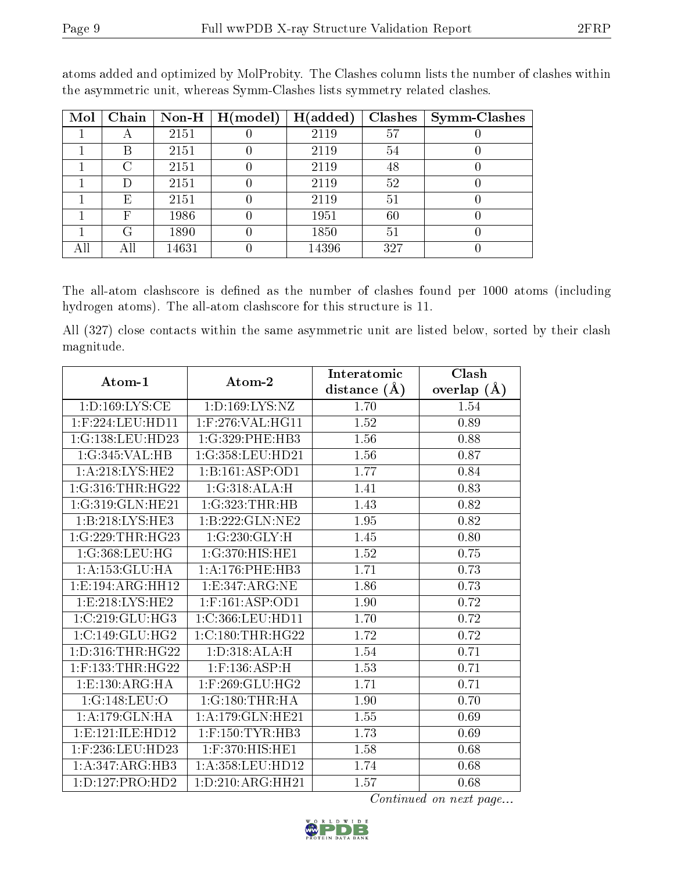| Mol | Chain | Non-H $\mid$ | $\mid$ H(model) | H(added) | <b>Clashes</b> | <b>Symm-Clashes</b> |
|-----|-------|--------------|-----------------|----------|----------------|---------------------|
|     | Α     | 2151         |                 | 2119     | 57             |                     |
|     | В     | 2151         |                 | 2119     | 54             |                     |
|     | C     | 2151         |                 | 2119     | 48             | U                   |
|     | D     | 2151         |                 | 2119     | 52             |                     |
|     | E     | 2151         |                 | 2119     | 51             |                     |
|     | F     | 1986         |                 | 1951     | $60\,$         |                     |
|     | G     | 1890         |                 | 1850     | 51             |                     |
|     | All   | 14631        |                 | 14396    | 327            |                     |

atoms added and optimized by MolProbity. The Clashes column lists the number of clashes within the asymmetric unit, whereas Symm-Clashes lists symmetry related clashes.

The all-atom clashscore is defined as the number of clashes found per 1000 atoms (including hydrogen atoms). The all-atom clashscore for this structure is 11.

All (327) close contacts within the same asymmetric unit are listed below, sorted by their clash magnitude.

| Atom-1               | Atom-2                | Interatomic       | Clash           |
|----------------------|-----------------------|-------------------|-----------------|
|                      |                       | distance $(\AA)$  | overlap $(\AA)$ |
| 1: D: 169: LYS: CE   | 1:D:169:LYS:NZ        | 1.70              | 1.54            |
| $1:$ F:224:LEU:HD11  | $1:$ F:276:VAL:HG11   | 1.52              | 0.89            |
| 1:G:138:LEU:HD23     | 1:G:329:PHE:HB3       | 1.56              | 0.88            |
| 1:G:345:VAL:HB       | 1:G:358:LEU:HD21      | 1.56              | 0.87            |
| 1: A:218: LYS: HE2   | 1:B:161:ASP:OD1       | 1.77              | 0.84            |
| 1:G:316:THR:HG22     | 1:G:318:ALA:H         | 1.41              | 0.83            |
| 1:G:319:GLN:HE21     | 1:G:323:THR:HB        | 1.43              | 0.82            |
| 1:B:218:LYS:HE3      | 1:B:222:GLN:NE2       | 1.95              | 0.82            |
| 1:G:229:THR:HG23     | 1:G:230:GLY:H         | $\overline{1.45}$ | 0.80            |
| 1:G:368:LEU:HG       | 1:G:370:HIS:HE1       | 1.52              | 0.75            |
| 1: A: 153: GLU: HA   | 1:A:176:PHE:HB3       | 1.71              | 0.73            |
| 1:E:194:ARG:HH12     | 1:E:347:ARG:NE        | 1.86              | 0.73            |
| 1:E:218:LYS:HE2      | $1:$ F:161:ASP:OD1    | 1.90              | 0.72            |
| 1:C:219:GLU:HG3      | 1:C:366:LEU:HD11      | 1.70              | 0.72            |
| 1:C:149:GLU:HG2      | 1:C:180:THR:HG22      | 1.72              | 0.72            |
| 1: D: 316: THR: HG22 | 1: D: 318: ALA:H      | 1.54              | 0.71            |
| $1:$ F:133:THR:HG22  | $1:$ F:136:ASP:H      | 1.53              | 0.71            |
| 1:E:130:ARG:HA       | $1:$ F:269:GLU:HG2    | 1.71              | 0.71            |
| 1:G:148:LEU:O        | 1:G:180:THR:HA        | 1.90              | 0.70            |
| 1: A: 179: GLN: HA   | 1:A:179:GLN:HE21      | 1.55              | 0.69            |
| 1: E: 121: ILE: HD12 | $1:$ F:150:TYR:HB3    | 1.73              | 0.69            |
| 1:F:236:LEU:HD23     | 1:F:370:HIS:HE1       | 1.58              | 0.68            |
| 1:A:347:ARG:HB3      | $1: A: 358:$ LEU:HD12 | 1.74              | 0.68            |
| 1: D: 127: PRO: HD2  | 1: D: 210: ARG: HH21  | 1.57              | 0.68            |

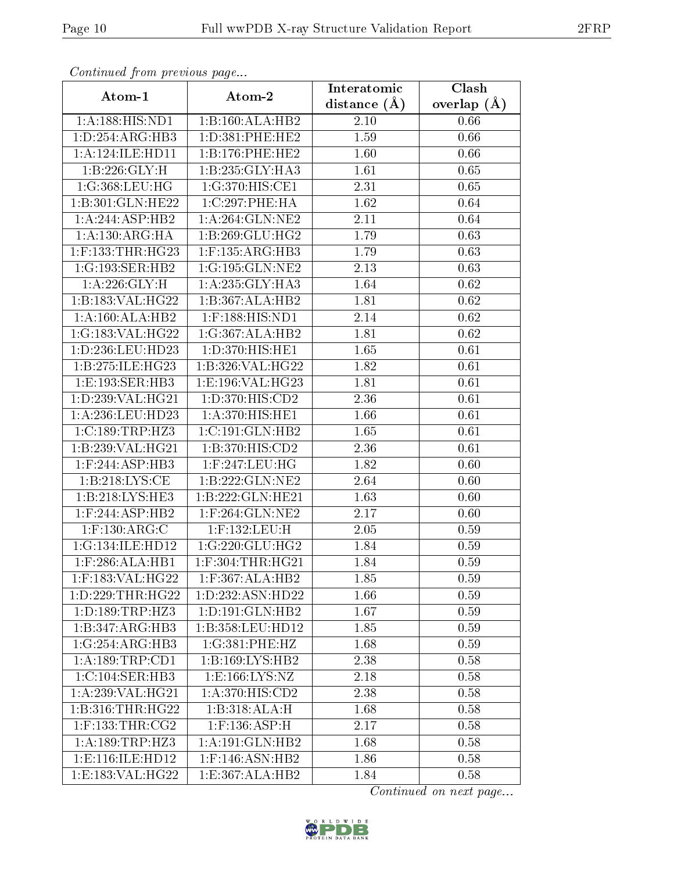| Commuca from previous page               |                                 | Interatomic    | Clash           |  |  |
|------------------------------------------|---------------------------------|----------------|-----------------|--|--|
| Atom-1                                   | Atom-2                          | distance $(A)$ | overlap $(\AA)$ |  |  |
| 1:A:188:HIS:ND1                          | 1:B:160:ALA:HB2                 | 2.10           | 0.66            |  |  |
| 1:D:254:ARG:HB3                          | 1:D:381:PHE:HE2                 | 1.59           | 0.66            |  |  |
| 1: A: 124: ILE: HD11                     | 1: B: 176: PHE: HE2             | 1.60           | 0.66            |  |  |
| 1: B:226: GLY:H                          | 1:B:235:GLY:HA3                 | 1.61           | 0.65            |  |  |
| 1:G:368:LEU:HG                           | 1:G:370:HIS:CE1                 | 2.31           | 0.65            |  |  |
| 1:B:301:GLN:HE22                         | 1:C:297:PHE:HA                  | 1.62           | 0.64            |  |  |
| 1:A:244:ASP:HB2                          | 1: A:264: GLN:NE2               | 2.11           | 0.64            |  |  |
| 1: A: 130: ARG: HA                       | 1:B:269:GLU:HG2                 | 1.79           | 0.63            |  |  |
| 1:F:133:THR:HG23                         | $1:$ F:135:ARG:HB3              | 1.79           | 0.63            |  |  |
| 1:G:193:SER:HB2                          | 1:G:195:GLN:NE2                 | 2.13           | 0.63            |  |  |
| 1: A:226: GLY:H                          | 1:A:235:GLY:HA3                 | 1.64           | 0.62            |  |  |
| 1:B:183:VAL:HG22                         | 1:B:367:ALA:HB2                 | 1.81           | 0.62            |  |  |
| 1:A:160:ALA:HB2                          | 1:F:188:HIS:ND1                 | 2.14           | 0.62            |  |  |
| 1:G:183:VAL:HG22                         | 1:G:367:ALA:HB2                 | 1.81           | 0.62            |  |  |
| 1:D:236:LEU:HD23                         | $1: D:370: HIS: H\overline{E1}$ | 1.65           | 0.61            |  |  |
| 1:B:275:ILE:HG23                         | 1:B:326:VAL:HG22                | 1.82           | 0.61            |  |  |
| 1:E:193:SER:HB3                          | 1: E: 196: VAL:HG23             | 1.81           | 0.61            |  |  |
| 1:D:239:VAL:HG21                         | 1:D:370:HIS:CD2                 | 2.36           | 0.61            |  |  |
| 1:A:236:LEU:HD23                         | 1:A:370:HIS:HE1                 | 1.66           | 0.61            |  |  |
| 1:C:189:TRP:HZ3                          | 1:C:191:GLN:HB2                 | 1.65           | 0.61            |  |  |
| 1:B:239:VAL:HG21                         | 1:B:370:HIS:CD2                 | 2.36           | 0.61            |  |  |
| $1:$ F:244:ASP:HB3                       | 1:F:247:LEU:HG                  | 1.82           | 0.60            |  |  |
| 1:B:218:LYS:CE                           | 1:B:222:GLN:NE2                 | 2.64           | 0.60            |  |  |
| 1: B: 218: LYS: HE3                      | 1:B:222:GLN:HE21                | 1.63           | 0.60            |  |  |
| $1:$ F:244:ASP:HB2                       | $1:$ F:264:GLN:NE2              | 2.17           | 0.60            |  |  |
| $1:$ F:130:ARG:C                         | $1:$ F:132:LEU:H                | 2.05           | 0.59            |  |  |
| 1:G:134:ILE:HD12                         | 1:G:220:GLU:HG2                 | 1.84           | 0.59            |  |  |
| $1:$ F:286:ALA:HB1                       | $1:$ F:304:THR:HG21             | 1.84           | 0.59            |  |  |
| $1:$ F:183:VAL:H $\overline{\text{G22}}$ | $1:$ F:367:ALA:HB2              | 1.85           | 0.59            |  |  |
| 1: D: 229: THR: HG22                     | 1:D:232:ASN:HD22                | 1.66           | 0.59            |  |  |
| 1: D: 189: TRP: HZ3                      | 1: D: 191: GLN: HB2             | 1.67           | 0.59            |  |  |
| 1:B:347:ARG:HB3                          | 1:B:358:LEU:HD12                | 1.85           | 0.59            |  |  |
| 1:G:254:ARG:HB3                          | 1:G:381:PHE:HZ                  | 1.68           | 0.59            |  |  |
| 1:A:189:TRP:CD1                          | 1:B:169:LYS:HB2                 | 2.38           | 0.58            |  |  |
| 1: C: 104: SER: HB3                      | 1: E: 166: LYS: NZ              | 2.18           | 0.58            |  |  |
| 1:A:239:VAL:HG21                         | 1:A:370:HIS:CD2                 | 2.38           | 0.58            |  |  |
| 1: B:316: THR: HG22                      | 1:B:318:ALA:H                   | 1.68           | 0.58            |  |  |
| $1:$ F:133:THR:CG2                       | $1:$ F:136:ASP:H                | 2.17           | 0.58            |  |  |
| 1:A:189:TRP:HZ3                          | 1:A:191:GLN:HB2                 | 1.68           | 0.58            |  |  |
| 1: E: 116: ILE: HD12                     | $1:$ F:146:ASN:HB2              | 1.86           | 0.58            |  |  |
| 1:E:183:VAL:HG22                         | 1:E:367:ALA:HB2                 | 1.84           | 0.58            |  |  |

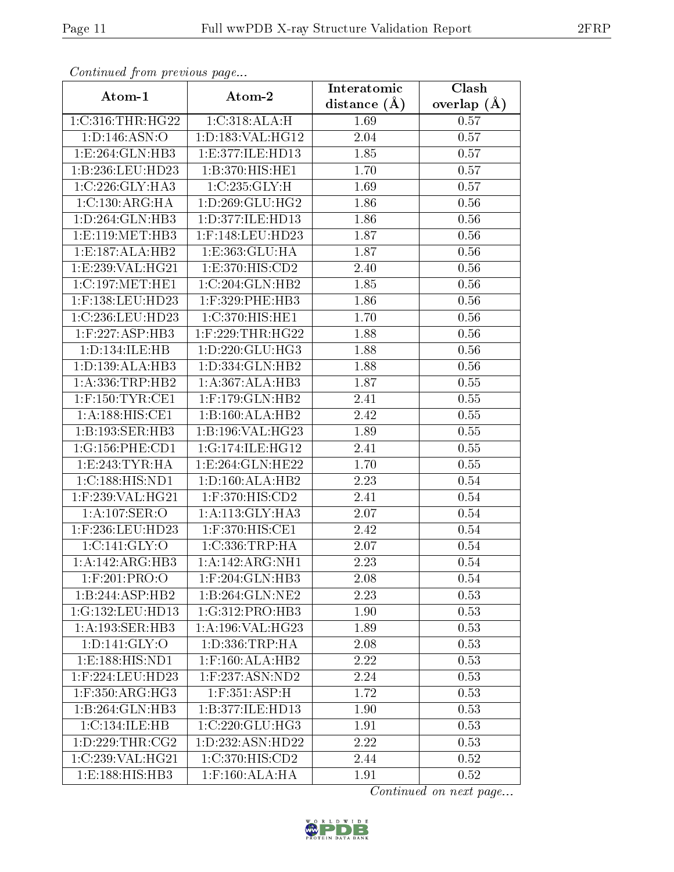| Continuea from previous page    |                                         | Interatomic       | Clash         |  |
|---------------------------------|-----------------------------------------|-------------------|---------------|--|
| Atom-1                          | Atom-2                                  | distance $(A)$    | overlap $(A)$ |  |
| 1:C:316:THR:HG22                | 1:C:318:ALA:H                           | 1.69              | 0.57          |  |
| 1: D: 146: ASN:O                | 1:D:183:VAL:HG12                        | 2.04              | 0.57          |  |
| 1:E:264:GLN:HB3                 | 1:E:377:ILE:HD13                        | 1.85              | 0.57          |  |
| 1:B:236:LEU:HD23                | 1:B:370:HIS:HE1                         | 1.70              | 0.57          |  |
| 1:C:226:GLY:HA3                 | 1:C:235:GLY:H                           | 1.69              | 0.57          |  |
| 1: C: 130: ARG: HA              | 1: D: 269: GLU: HG2                     | 1.86              | 0.56          |  |
| 1: D: 264: GLN: HB3             | 1:D:377:ILE:HD13                        | 1.86              | 0.56          |  |
| 1:E:119:MET:HB3                 | 1:F:148:LEU:HD23                        | $\overline{1.87}$ | $0.56\,$      |  |
| 1: E: 187: ALA: HB2             | 1:E:363:GLU:HA                          | 1.87              | 0.56          |  |
| 1:E:239:VAL:HG21                | 1: E:370: HIS: CD2                      | 2.40              | 0.56          |  |
| 1:C:197:MET:HE1                 | 1:C:204:GLN:HB2                         | 1.85              | 0.56          |  |
| 1:F:138:LEU:HD23                | $1:$ F:329:PHE:HB3                      | 1.86              | 0.56          |  |
| 1:C:236:LEU:HD23                | 1:C:370:HIS:HE1                         | 1.70              | 0.56          |  |
| $1:$ F:227:ASP:HB3              | $1:$ F:229:THR:HG22                     | 1.88              | 0.56          |  |
| 1: D: 134: ILE: HB              | 1: D: 220: GLU: HG3                     | 1.88              | 0.56          |  |
| 1: D: 139: ALA: HB3             | 1:D:334:GLN:HB2                         | 1.88              | 0.56          |  |
| 1: A: 336: TRP: HB2             | 1:A:367:ALA:HB3                         | 1.87              | 0.55          |  |
| $1:$ F:150:TYR:CE1              | $1:$ F:179:GLN:HB2                      | 2.41              | 0.55          |  |
| 1:A:188:HIS:CE1                 | 1:B:160:ALA:HB2                         | 2.42              | $0.55\,$      |  |
| 1:B:193:SER:HB3                 | 1:B:196:VAL:HG23                        | 1.89              | 0.55          |  |
| 1:G:156:PHE:CD1                 | 1:G:174:ILE:HG12                        | 2.41              | 0.55          |  |
| 1: E: 243: TYR: HA              | 1: E: 264: GLN: HE22                    | 1.70              | 0.55          |  |
| 1:C:188:HIS:ND1                 | 1: D: 160: ALA: HB2                     | 2.23              | 0.54          |  |
| 1:F:239:VAL:HG21                | 1:F:370:HIS:CD2                         | 2.41              | 0.54          |  |
| 1:A:107:SER:O                   | 1:A:113:GLY:HA3                         | 2.07              | 0.54          |  |
| $1:$ F:236:LEU:HD23             | $1:$ F:370:HIS: $\overline{\text{CE1}}$ | 2.42              | 0.54          |  |
| 1: C: 141: GLY: O               | 1:C:336:TRP:HA                          | 2.07              | 0.54          |  |
| 1:A:142:ARG:HB3                 | 1:A:142:ARG:NH1                         | 2.23              | 0.54          |  |
| $1:$ F:201:PRO:O                | 1:F:204:GLN:HB3                         | 2.08              | 0.54          |  |
| 1:B:244:ASP:HB2                 | 1:B:264:GLN:NE2                         | 2.23              | 0.53          |  |
| 1:G:132:LEU:HD13                | 1:G:312:PRO:HB3                         | 1.90              | 0.53          |  |
| 1:A:193:SER:HB3                 | 1: A:196: VAL:HG23                      | 1.89              | 0.53          |  |
| 1: D: 141: GLY: O               | 1: D: 336: TRP: HA                      | 2.08              | 0.53          |  |
| 1: E: 188: H1S: ND1             | $1:$ F:160:ALA:HB2                      | 2.22              | 0.53          |  |
| $1:$ F:224:LEU:HD23             | $1:$ F:237:ASN:ND2                      | 2.24              | 0.53          |  |
| $1:$ F:350:ARG:HG3              | $1:$ F:351:ASP:H                        | 1.72              | 0.53          |  |
| 1:B:264:GLN:HB3                 | 1:B:377:ILE:HD13                        | 1.90              | 0.53          |  |
| 1:C:134:ILE:HB                  | $1:C:220:$ GLU:HG3                      | 1.91              | 0.53          |  |
| 1: D: 229: THR: CG2             | 1: D: 232: ASN: HD22                    | 2.22              | 0.53          |  |
| 1:C:239:VAL:HG21                | 1:C:370:HIS:CD2                         | 2.44              | 0.52          |  |
| $1: E: 188: \overline{HIS:HB3}$ | $1:$ F:160:ALA:HA                       | 1.91              | 0.52          |  |

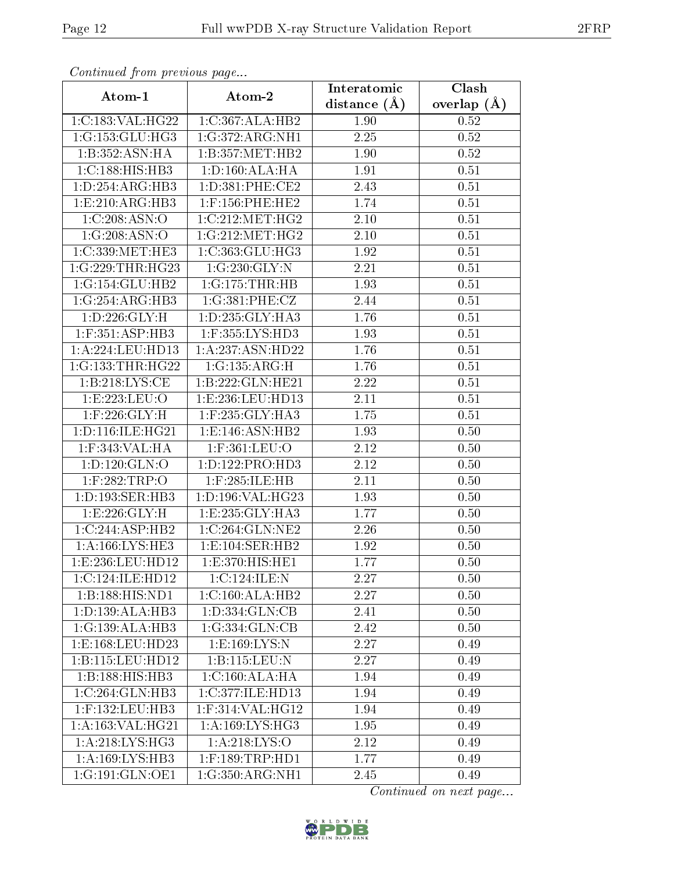| Continuea from previous page  |                               | Interatomic    | Clash         |  |
|-------------------------------|-------------------------------|----------------|---------------|--|
| Atom-1                        | Atom-2                        | distance $(A)$ | overlap $(A)$ |  |
| 1:C:183:VAL:HG22              | 1:C:367:ALA:HB2               | 1.90           | 0.52          |  |
| 1:G:153:GLU:HG3               | 1:G:372:ARG:NH1               | 2.25           | 0.52          |  |
| 1:B:352:ASN:HA                | 1:B:357:MET:HB2               | 1.90           | 0.52          |  |
| 1:C:188:HIS:HB3               | 1: D: 160: ALA: HA            | 1.91           | 0.51          |  |
| 1:D:254:ARG:HB3               | 1: D: 381: PHE: CE2           | 2.43           | 0.51          |  |
| 1:E:210:ARG:HB3               | $1:$ F:156:PHE:HE2            | 1.74           | 0.51          |  |
| 1:C:208:ASN:O                 | 1:C:212:MET:HG2               | 2.10           | 0.51          |  |
| 1:G:208:ASN:O                 | 1:G:212:MET:HG2               | 2.10           | 0.51          |  |
| 1:C:339:MET:HE3               | 1:C:363:GLU:HG3               | 1.92           | 0.51          |  |
| 1:G:229:THR:HG23              | 1:G:230:GLY:N                 | 2.21           | 0.51          |  |
| 1:G:154:GLU:HB2               | 1:G:175:THR:HB                | 1.93           | 0.51          |  |
| 1:G:254:ARG:HB3               | 1:G:381:PHE:CZ                | 2.44           | 0.51          |  |
| 1: D: 226: GLY: H             | 1:D:235:GLY:HA3               | 1.76           | 0.51          |  |
| $1:$ F:351:ASP:HB3            | 1:F:355:LYS:HD3               | 1.93           | 0.51          |  |
| 1:A:224:LEU:HD13              | 1:A:237:ASN:HD22              | 1.76           | 0.51          |  |
| 1:G:133:THR:HG22              | 1:G:135:ARG:H                 | 1.76           | 0.51          |  |
| 1:B:218:LYS:CE                | 1:B:222:GLN:HE21              | 2.22           | 0.51          |  |
| 1:E:223:EU:O                  | 1:E:236:LEU:HD13              | 2.11           | 0.51          |  |
| $1:$ F:226:GLY:H              | 1:F:235:GLY:HA3               | 1.75           | 0.51          |  |
| 1: D: 116: ILE: HG21          | 1: E: 146: ASN: HB2           | 1.93           | 0.50          |  |
| 1:F:343:VAL:HA                | 1:F:361:LEU:O                 | 2.12           | 0.50          |  |
| 1: D: 120: GLN: O             | 1:D:122:PRO:HD3               | 2.12           | 0.50          |  |
| 1:F:282:TRP:O                 | 1:F:285:ILE:HB                | 2.11           | 0.50          |  |
| 1:D:193:SER:HB3               | 1:D:196:VAL:HG23              | 1.93           | 0.50          |  |
| 1: E: 226: GLY: H             | 1:E:235:GLY:HA3               | 1.77           | 0.50          |  |
| $1:C:244: \overline{ASP:HB2}$ | 1:C:264:GLN:NE2               | 2.26           | 0.50          |  |
| 1: A: 166: LYS: HE3           | 1:E:104:SER:HB2               | 1.92           | 0.50          |  |
| 1:E:236:LEU:HD12              | 1:E:370:HIS:HE1               | 1.77           | 0.50          |  |
| 1:C:124:ILE:HD12              | 1:C:124:ILE:N                 | 2.27           | 0.50          |  |
| 1:B:188:HIS:ND1               | 1:C:160:ALA:HB2               | 2.27           | 0.50          |  |
| 1: D: 139: ALA: HB3           | $1: D: \overline{334:GLN:CB}$ | 2.41           | 0.50          |  |
| 1:G:139:ALA:HB3               | 1:G:334:GLN:CB                | 2.42           | 0.50          |  |
| 1:E:168:LEU:HD23              | 1: E: 169: LYS: N             | 2.27           | 0.49          |  |
| 1:B:115:LEU:HD12              | 1:B:115:LEU:N                 | 2.27           | 0.49          |  |
| 1:B:188:HIS:HB3               | 1: C:160: ALA:HA              | 1.94           | 0.49          |  |
| 1:C:264:GLN:HB3               | 1:C:377:ILE:HD13              | 1.94           | 0.49          |  |
| $1:$ F:132:LEU:HB3            | $1:$ F:314:VAL:HG12           | 1.94           | 0.49          |  |
| 1:A:163:VAL:HG21              | 1: A:169: LYS: HG3            | 1.95           | 0.49          |  |
| 1: A:218: LYS: HG3            | 1: A:218: LYS:O               | 2.12           | 0.49          |  |
| 1:A:169:LYS:HB3               | $1:$ F:189:TRP:HD1            | 1.77           | 0.49          |  |
| 1:G:191:GLN:OE1               | $1:G:350:A\overline{RG:NH1}$  | 2.45           | 0.49          |  |

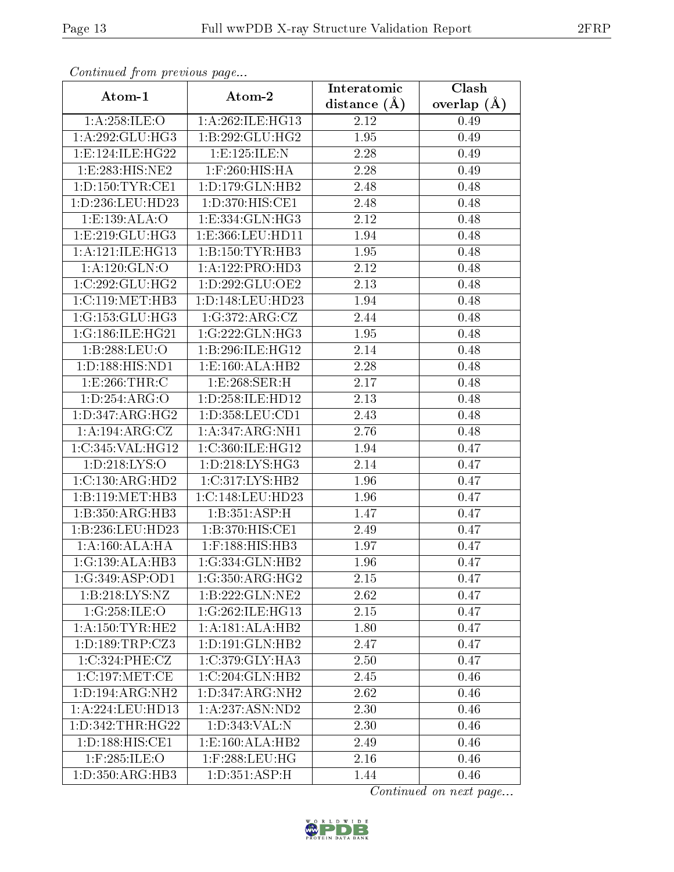| Commaca from previous page       |                      | Interatomic    | Clash         |  |  |
|----------------------------------|----------------------|----------------|---------------|--|--|
| Atom-1                           | Atom-2               | distance $(A)$ | overlap $(A)$ |  |  |
| 1: A:258: ILE: O                 | 1:A:262:ILE:HG13     | 2.12           | 0.49          |  |  |
| $1:A:292:GLU:H$ G3               | 1:B:292:GLU:HG2      | 1.95           | 0.49          |  |  |
| 1:E:124:ILE:HG22                 | 1: E: 125: ILE:N     | 2.28           | 0.49          |  |  |
| 1:E:283:HIS:NE2                  | $1:$ F:260:HIS:HA    | 2.28           | 0.49          |  |  |
| 1: D: 150: TYR: CE1              | 1: D: 179: GLN: HB2  | 2.48           | 0.48          |  |  |
| 1:D:236:LEU:HD23                 | 1:D:370:HIS:CE1      | 2.48           | 0.48          |  |  |
| 1:E:139:ALA:O                    | 1: E: 334: GLN: HG3  | 2.12           | 0.48          |  |  |
| 1: E: 219: GLU: HG3              | 1:E:366:LEU:HD11     | 1.94           | 0.48          |  |  |
| 1:A:121:ILE:HG13                 | 1: B: 150: TYR: HB3  | 1.95           | 0.48          |  |  |
| $1:A:120:\overline{GLN:O}$       | 1:A:122:PRO:HD3      | 2.12           | 0.48          |  |  |
| 1:C:292:GLU:HG2                  | 1: D: 292: GLU: OE2  | 2.13           | 0.48          |  |  |
| 1:C:119:MET:HB3                  | 1:D:148:LEU:HD23     | 1.94           | 0.48          |  |  |
| 1:G:153:GLU:HG3                  | 1:G:372:ARG:CZ       | 2.44           | 0.48          |  |  |
| 1:G:186:ILE:HG21                 | 1:G:222:GLN:HG3      | 1.95           | 0.48          |  |  |
| 1:B:288:LEU:O                    | 1:B:296:ILE:HG12     | 2.14           | 0.48          |  |  |
| 1:D:188:HIS:ND1                  | 1:E:160:ALA:HB2      | 2.28           | 0.48          |  |  |
| 1:E:266:THR:C                    | 1: E:268: SER:H      | 2.17           | 0.48          |  |  |
| 1: D: 254: ARG: O                | 1: D: 258: ILE: HD12 | 2.13           | 0.48          |  |  |
| 1: D: 347: ARG: HG2              | 1:D:358:LEU:CD1      | 2.43           | 0.48          |  |  |
| 1:A:194:ARG:CZ                   | 1:A:347:ARG:NH1      | 2.76           | 0.48          |  |  |
| 1:C:345:VAL:HG12                 | 1:C:360:ILE:HG12     | 1.94           | 0.47          |  |  |
| 1: D: 218: LYS: O                | 1: D: 218: LYS: HG3  | 2.14           | 0.47          |  |  |
| 1:C:130:ARG:HD2                  | 1:C:317:LYS:HB2      | 1.96           | 0.47          |  |  |
| 1:B:119:MET:HB3                  | 1:C:148:LEU:HD23     | 1.96           | 0.47          |  |  |
| 1:B:350:ARG:HB3                  | 1:B:351:ASP:H        | 1.47           | 0.47          |  |  |
| 1:B:236:LEU:HD23                 | 1:B:370:HIS:CE1      | 2.49           | 0.47          |  |  |
| 1:A:160:ALA:HA                   | $1:$ F:188:HIS:HB3   | 1.97           | 0.47          |  |  |
| $1:G:139:ALA:\overline{HB3}$     | 1:G:334:GLN:HB2      | 1.96           | 0.47          |  |  |
| 1:G:349:ASP:OD1                  | 1:G:350:ARG:HG2      | 2.15           | 0.47          |  |  |
| 1:B:218:LYS:NZ                   | 1:B:222:GLN:NE2      | 2.62           | 0.47          |  |  |
| 1:G:258:ILE:O                    | 1:G:262:ILE:HG13     | 2.15           | 0.47          |  |  |
| 1: A: 150: TYR: HE2              | 1:A:181:ALA:HB2      | 1.80           | 0.47          |  |  |
| 1: D: 189: TRP: CZ3              | 1: D: 191: GLN: HB2  | 2.47           | 0.47          |  |  |
| 1:C:324:PHE:CZ                   | 1:C:379:CLY:HA3      | 2.50           | 0.47          |  |  |
| 1:C:197:MET:CE                   | 1:C:204:GLN:HB2      | 2.45           | 0.46          |  |  |
| 1: D: 194: ARG: NH2              | 1:D:347:ARG:NH2      | 2.62           | $0.46\,$      |  |  |
| 1: A: 224: LEU: HD13             | 1:A:237:ASN:ND2      | 2.30           | 0.46          |  |  |
| 1: D: 342: THR: HG22             | 1:D:343:VAL:N        | 2.30           | 0.46          |  |  |
| $1: D: 188: HIS: \overline{CE1}$ | 1:E:160:ALA:HB2      | 2.49           | 0.46          |  |  |
| 1:F:285:ILE:O                    | $1:$ F:288:LEU:HG    | 2.16           | 0.46          |  |  |
| 1:D:350:ARG:HB3                  | 1: D: 351: ASP:H     | 1.44           | 0.46          |  |  |

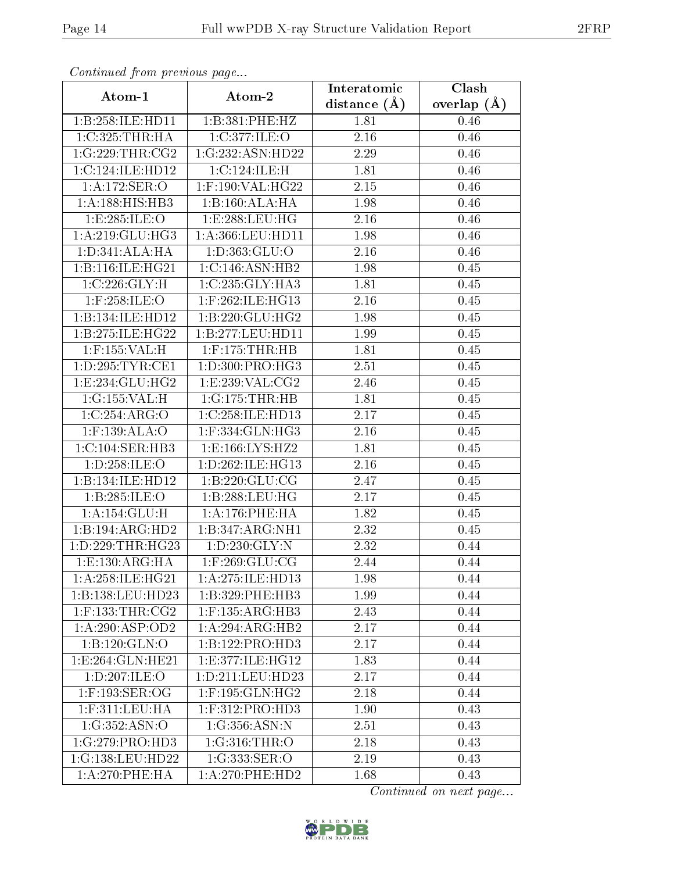| Comunaca jiom previous page |                        | Interatomic    | Clash           |
|-----------------------------|------------------------|----------------|-----------------|
| Atom-1                      | Atom-2                 | distance $(A)$ | overlap $(\AA)$ |
| 1:B:258:ILE:HD11            | 1:B:381:PHE:HZ         | 1.81           | 0.46            |
| 1:C:325:THR:HA              | 1:C:377:ILE:O          | 2.16           | 0.46            |
| 1:G:229:THR:CG2             | 1:G:232:ASN:HD22       | 2.29           | 0.46            |
| 1:C:124:ILE:HD12            | 1:C:124:ILE:H          | 1.81           | 0.46            |
| 1: A:172: SER: O            | 1:F:190:VAL:HG22       | 2.15           | 0.46            |
| 1:A:188:HIS:HB3             | 1:B:160:ALA:HA         | 1.98           | 0.46            |
| 1:E:285:ILE:O               | 1:E:288:LEU:HG         | 2.16           | 0.46            |
| 1: A:219: GLU: HG3          | 1: A: 366: LEU: HD11   | 1.98           | 0.46            |
| 1: D: 341: ALA: HA          | 1:D:363:GLU:O          | 2.16           | 0.46            |
| 1:B:116:ILE:HG21            | 1:C:146:ASN:HB2        | 1.98           | 0.45            |
| 1:C:226:GLY:H               | 1:C:235:GLY:HA3        | 1.81           | 0.45            |
| $1:$ F:258:ILE:O            | 1:F:262:ILE:HG13       | 2.16           | 0.45            |
| 1:B:134:ILE:HD12            | 1:B:220:GLU:HG2        | 1.98           | 0.45            |
| 1:B:275:ILE:HG22            | 1:B:277:LEU:HD11       | 1.99           | 0.45            |
| 1:F:155:VAL:H               | $1:$ F:175:THR:HB      | 1.81           | 0.45            |
| 1: D: 295: TYR: CE1         | 1:D:300:PRO:HG3        | 2.51           | 0.45            |
| 1:E:234:GLU:HG2             | 1:E:239:VAL:CG2        | 2.46           | 0.45            |
| 1:G:155:VAL:H               | 1:G:175:THR:HB         | 1.81           | 0.45            |
| 1:C:254:ARG:O               | 1:C:258:ILE:HD13       | 2.17           | 0.45            |
| 1:F:139:ALA:O               | 1:F:334:GLN:HG3        | 2.16           | 0.45            |
| 1: C: 104: SER: HB3         | 1:E:166:LYS:HZ2        | 1.81           | 0.45            |
| 1: D: 258: ILE:O            | 1:D:262:ILE:HG13       | 2.16           | 0.45            |
| 1:B:134:ILE:HD12            | 1: B: 220: GLU: CG     | 2.47           | 0.45            |
| 1:B:285:ILE:O               | 1:B:288:LEU:HG         | 2.17           | 0.45            |
| 1: A:154: GLU:H             | 1:A:176:PHE:HA         | 1.82           | 0.45            |
| 1:B:194:ARG:HD2             | 1:B:347:ARG:NH1        | 2.32           | 0.45            |
| 1: D: 229: THR: HG23        | 1: D: 230: GLY:N       | 2.32           | 0.44            |
| 1: E: 130: ARG: HA          | $1:$ F:269:GLU:CG      | 2.44           | 0.44            |
| 1:A:258:ILE:HG21            | 1: A: 275: ILE: HD13   | 1.98           | 0.44            |
| 1:B:138:LEU:HD23            | 1:B:329:PHE:HB3        | 1.99           | 0.44            |
| $1:$ F:133:THR:CG2          | $1:$ F:135:ARG:HB3     | 2.43           | 0.44            |
| 1:A:290:ASP:OD2             | 1:A:294:ARG:HB2        | 2.17           | 0.44            |
| 1:B:120:GLN:O               | 1: B: 122: PRO: HD3    | 2.17           | 0.44            |
| 1: E: 264: GLN: HE21        | 1:E:377:ILE:HG12       | 1.83           | 0.44            |
| 1:D:207:ILE:O               | $1: D: 211:$ LEU:HD23  | 2.17           | 0.44            |
| 1:F:193:SER:OG              | $1:$ F:195: $GLN:$ HG2 | 2.18           | 0.44            |
| $1:$ F:311:LEU:HA           | $1:$ F:312:PRO:HD3     | 1.90           | 0.43            |
| 1:G:352:ASN:O               | 1:G:356:ASN:N          | 2.51           | 0.43            |
| 1:G:279:PRO:HD3             | 1:G:316:THR:O          | 2.18           | 0.43            |
| 1:G:138:LEU:HD22            | 1:G:333:SER:O          | 2.19           | 0.43            |
| 1: A:270:PHE:HA             | $1: A:270:$ PHE:HD2    | 1.68           | 0.43            |

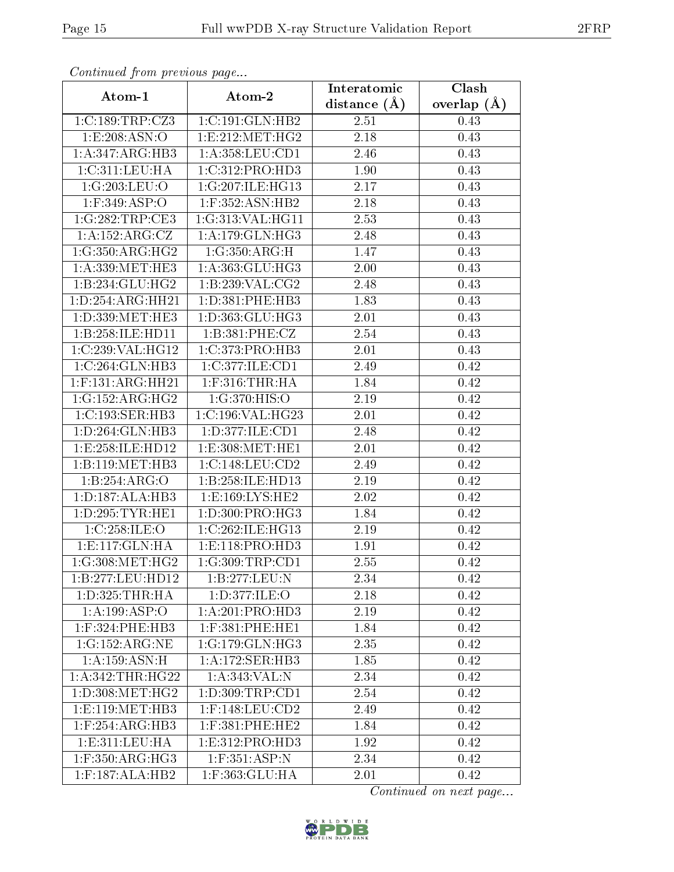| Communica from previous page             |                               | Interatomic       | Clash         |  |  |
|------------------------------------------|-------------------------------|-------------------|---------------|--|--|
| Atom-1                                   | Atom-2                        | distance $(A)$    | overlap $(A)$ |  |  |
| 1:C:189:TRP:CZ3                          | 1:C:191:GLN:HB2               | 2.51              | 0.43          |  |  |
| 1:E:208:ASN:O                            | 1: E: 212: MET: HG2           | 2.18              | 0.43          |  |  |
| 1:A:347:ARG:HB3                          | 1: A:358:LEU:CD1              | 2.46              | 0.43          |  |  |
| 1:C:311:LEU:HA                           | 1:C:312:PRO:HD3               | 1.90              | 0.43          |  |  |
| 1:G:203:LEU:O                            | $1:G:207:I\overline{LE:HG13}$ | 2.17              | 0.43          |  |  |
| 1:F:349:ASP:O                            | $1:$ F:352:ASN:HB2            | 2.18              | 0.43          |  |  |
| 1:G:282:TRP:CE3                          | 1:G:313:VAL:HG11              | $\overline{2}.53$ | 0.43          |  |  |
| 1:A:152:ARG:CZ                           | $1:A:179:GLN:H\overline{G3}$  | 2.48              | 0.43          |  |  |
| 1:G:350:ARG:HG2                          | 1:G:350:ARG:H                 | 1.47              | 0.43          |  |  |
| 1: A: 339: MET: HE3                      | 1: A: 363: GLU: HG3           | 2.00              | 0.43          |  |  |
| 1:B:234:GLU:HG2                          | 1:B:239:VAL:CG2               | 2.48              | 0.43          |  |  |
| 1:D:254:ARG:HH21                         | 1:D:381:PHE:HB3               | 1.83              | 0.43          |  |  |
| 1:D:339:MET:HE3                          | 1:D:363:GLU:HG3               | 2.01              | 0.43          |  |  |
| 1:B:258:ILE:HD11                         | 1:B:381:PHE:CZ                | 2.54              | 0.43          |  |  |
| 1:C:239:VAL:HG12                         | 1:C:373:PRO:HB3               | 2.01              | 0.43          |  |  |
| 1:C:264:GLN:HB3                          | 1:C:377:ILE:CD1               | 2.49              | 0.42          |  |  |
| $1:$ F:131:ARG:HH21                      | $1:$ F:316:THR:HA             | 1.84              | 0.42          |  |  |
| 1:G:152:ARG:HG2                          | 1:G:370:HIS:O                 | 2.19              | 0.42          |  |  |
| 1:C:193:SER:HB3                          | 1:C:196:VAL:HG23              | 2.01              | 0.42          |  |  |
| 1: D:264: GLN:HB3                        | 1: D: 377: ILE: CD1           | 2.48              | 0.42          |  |  |
| 1:E:258:ILE:HD12                         | 1:E:308:MET:HE1               | 2.01              | 0.42          |  |  |
| 1:B:119:MET:HB3                          | 1:C:148:LEU:CD2               | 2.49              | 0.42          |  |  |
| 1:B:254:ARG:O                            | 1:B:258:ILE:HD13              | 2.19              | 0.42          |  |  |
| 1: D: 187: ALA: HB3                      | 1: E: 169: LYS: HE2           | 2.02              | 0.42          |  |  |
| 1:D:295:TYR:HE1                          | 1:D:300:PRO:HG3               | 1.84              | 0.42          |  |  |
| 1:C:258:ILE:O                            | 1:C:262:ILE:HG13              | 2.19              | 0.42          |  |  |
| 1: E: 117: GLN: HA                       | 1: E: 118: PRO: HD3           | 1.91              | 0.42          |  |  |
| 1:G:308:MET:HG2                          | 1:G:309:TRP:CD1               | 2.55              | 0.42          |  |  |
| 1:B:277:LEU:HD12                         | 1:B:277:LEU:N                 | 2.34              | 0.42          |  |  |
| 1: D: 325: THR: HA                       | 1:D:377:ILE:O                 | 2.18              | 0.42          |  |  |
| 1: A: 199: ASP: O                        | 1: A:201:PRO:HD3              | 2.19              | 0.42          |  |  |
| $1:$ F:324:PHE:HB3                       | $1:$ F:381:PHE:HE1            | 1.84              | $0.42\,$      |  |  |
| 1:G:152:ARG:NE                           | 1:G:179:GLN:HG3               | 2.35              | 0.42          |  |  |
| 1:A:159:ASN:H                            | 1:A:172:SER:HB3               | 1.85              | 0.42          |  |  |
| 1: A: 342: THE:HG22                      | 1: A:343: VAL: N              | 2.34              | 0.42          |  |  |
| 1: D:308: MET:HG2                        | 1: D: 309: TRP: CD1           | 2.54              | 0.42          |  |  |
| 1: E: 119: MET: HB3                      | $1:$ F:148:LEU:CD2            | 2.49              | 0.42          |  |  |
| $1:$ F:254:ARG:HB3                       | $1:$ F:381:PHE:HE2            | 1.84              | 0.42          |  |  |
| 1: E: 311: LEU: HA                       | 1: E: 312: PRO: HD3           | 1.92              | 0.42          |  |  |
| $1:$ F:350:AR $\overline{G:HG3}$         | $1:$ F:351:ASP:N              | 2.34              | 0.42          |  |  |
| $1:$ F:187: $\overline{\text{ALA:H}}$ B2 | 1:F:363:GLU:HA                | 2.01              | 0.42          |  |  |

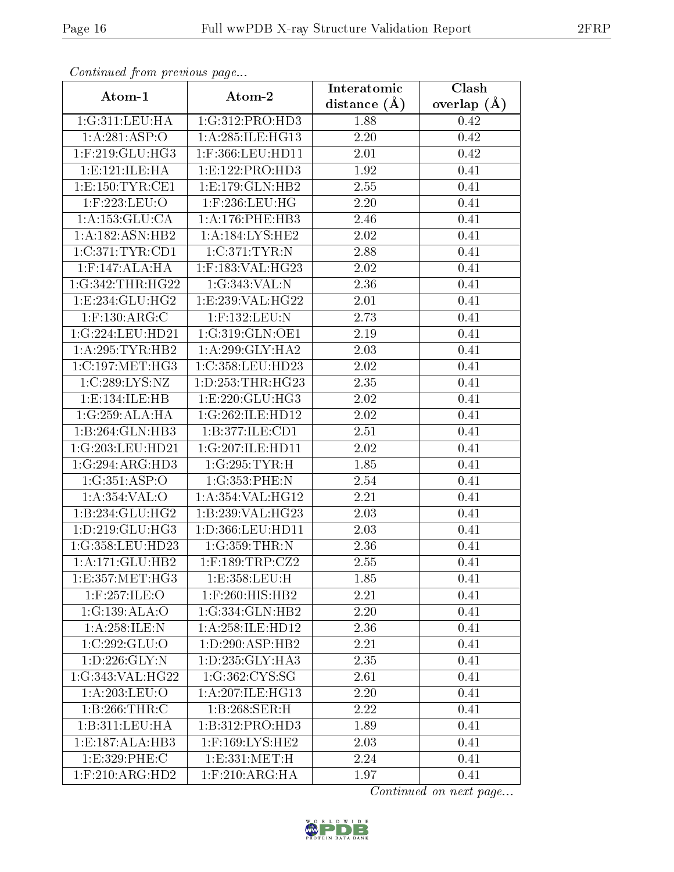| Commuca from previous page |                     | Interatomic       | Clash           |
|----------------------------|---------------------|-------------------|-----------------|
| Atom-1                     | Atom-2              | distance $(A)$    | overlap $(\AA)$ |
| 1:G:311:LEU:HA             | 1:G:312:PRO:HD3     | 1.88              | 0.42            |
| 1:A:281:ASP:O              | 1:A:285:ILE:HG13    | 2.20              | 0.42            |
| $1:$ F:219: $GLU$ :HG3     | 1:F:366:LEU:HD11    | 2.01              | 0.42            |
| 1:E:121:ILE:HA             | 1: E: 122: PRO: HD3 | 1.92              | 0.41            |
| 1: E: 150: TYR: CE1        | 1:E:179:GLN:HB2     | 2.55              | 0.41            |
| 1:F:223:LEU:O              | $1:$ F:236:LEU:HG   | 2.20              | 0.41            |
| 1: A: 153: GLU: CA         | 1: A:176: PHE:HB3   | 2.46              | 0.41            |
| 1:A:182:ASN:HB2            | 1: A: 184: LYS: HE2 | 2.02              | 0.41            |
| 1:C:371:TYR:CD1            | 1:C:371:TYR:N       | 2.88              | 0.41            |
| $1:$ F:147:ALA:HA          | 1:F:183:VAL:HG23    | 2.02              | 0.41            |
| 1:G:342:THR:HG22           | 1:G:343:VAL:N       | 2.36              | 0.41            |
| 1:E:234:GLU:HG2            | 1:E:239:VAL:HG22    | 2.01              | 0.41            |
| $1:$ F:130:ARG:C           | 1:F:132:LEU:N       | 2.73              | 0.41            |
| 1:G:224:LEU:HD21           | 1:G:319:GLN:OE1     | 2.19              | 0.41            |
| 1: A:295:TYR:HB2           | 1:A:299:GLY:HA2     | 2.03              | 0.41            |
| 1:C:197:MET:HG3            | 1:C:358:LEU:HD23    | 2.02              | 0.41            |
| 1:C:289:LYS:NZ             | 1:D:253:THR:HG23    | 2.35              | 0.41            |
| 1: E: 134: ILE: HB         | 1: E: 220: GLU: HG3 | 2.02              | 0.41            |
| 1:G:259:ALA:HA             | 1:G:262:ILE:HD12    | 2.02              | 0.41            |
| 1:B:264:GLN:HB3            | 1:B:377:ILE:CD1     | 2.51              | 0.41            |
| 1:G:203:LEU:HD21           | 1:G:207:ILE:HD11    | $\overline{2.02}$ | 0.41            |
| 1:G:294:ARG:HD3            | 1:G:295:TYR:H       | 1.85              | 0.41            |
| 1:G:351:ASP:O              | 1:G:353:PHE:N       | 2.54              | 0.41            |
| 1:A:354:VAL:O              | 1:A:354:VAL:HG12    | 2.21              | 0.41            |
| 1:B:234:GLU:HG2            | 1:B:239:VAL:HG23    | 2.03              | 0.41            |
| 1:D:219:GLU:HG3            | 1:D:366:LEU:HD11    | $\overline{2}.03$ | 0.41            |
| 1:G:358:LEU:HD23           | 1:G:359:THR:N       | 2.36              | 0.41            |
| 1:A:171:GLU:HB2            | $1:$ F:189:TRP:CZ2  | 2.55              | 0.41            |
| 1:E:357:MET:HG3            | 1:E:358:LEU:H       | 1.85              | 0.41            |
| $1:$ F:257:ILE:O           | $1:$ F:260:HIS:HB2  | 2.21              | 0.41            |
| 1:G:139:ALA:O              | 1:G:334:GLN:HB2     | 2.20              | 0.41            |
| 1:A:258:ILE:N              | 1:A:258:ILE:HD12    | 2.36              | 0.41            |
| 1:C:292:GLU:O              | 1:D:290:ASP:HB2     | 2.21              | 0.41            |
| 1:D:226:GLY:N              | 1:D:235:GLY:HA3     | 2.35              | 0.41            |
| 1:G:343:VAL:HG22           | 1:G:362:CYS:SG      | 2.61              | 0.41            |
| 1: A:203:LEU:O             | 1:A:207:ILE:HG13    | 2.20              | 0.41            |
| 1:B:266:THR:C              | 1:B:268:SER:H       | 2.22              | 0.41            |
| 1:B:311:LEU:HA             | 1:B:312:PRO:HD3     | 1.89              | 0.41            |
| 1:E:187:ALA:HB3            | 1:F:169:LYS:HE2     | 2.03              | 0.41            |
| 1:E:329:PHE:C              | 1: E: 331: MET:H    | 2.24              | 0.41            |
| $1:$ F:210:ARG:HD2         | $1:$ F:210:ARG:HA   | 1.97              | 0.41            |

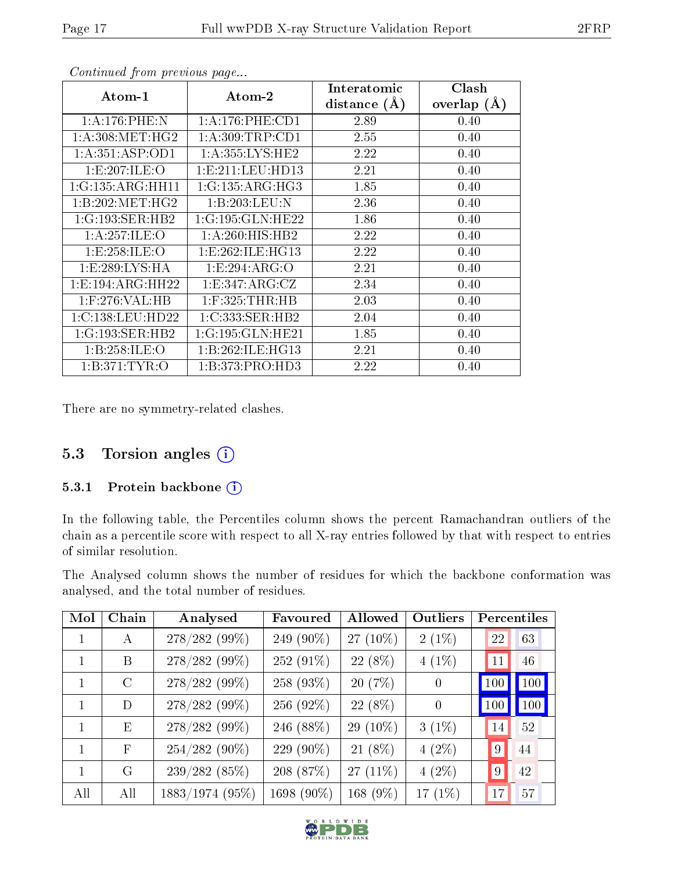| Atom-1               | Atom-2               | Interatomic    | Clash         |
|----------------------|----------------------|----------------|---------------|
|                      |                      | distance $(A)$ | overlap $(A)$ |
| 1: A:176: PHE:N      | 1: A:176: PHE:CD1    | 2.89           | 0.40          |
| 1: A:308: MET:HG2    | 1: A:309:TRP:CD1     | 2.55           | 0.40          |
| 1: A:351: ASP:OD1    | 1: A:355:LYS:HE2     | 2.22           | 0.40          |
| 1:E:207:ILE:O        | 1: E: 211: LEU: HD13 | 2.21           | 0.40          |
| 1:G:135:ARG:HH11     | 1:G:135:ARG:HG3      | 1.85           | 0.40          |
| 1:B:202:MET:HG2      | 1:B:203:LEU:N        | 2.36           | 0.40          |
| 1:G:193:SER:HB2      | 1:G:195:GLN:HE22     | 1.86           | 0.40          |
| 1: A:257: ILE: O     | 1:A:260:HIS:HB2      | 2.22           | 0.40          |
| 1: E: 258: ILE: O    | 1: E: 262: ILE: HG13 | 2.22           | 0.40          |
| 1: E:289: LYS: HA    | 1:E:294:ARG:O        | 2.21           | 0.40          |
| 1: E: 194: ARG: HH22 | 1: E: 347: ARG: CZ   | 2.34           | 0.40          |
| 1:F:276:VAL:HB       | $1:$ F:325:THR:HB    | 2.03           | 0.40          |
| 1:C:138:LEU:HD22     | 1:C:333:SER:HB2      | 2.04           | 0.40          |
| 1:G:193:SER:HB2      | 1:G:195:GLN:HE21     | 1.85           | 0.40          |
| 1:B:258:ILE:O        | 1:B:262:ILE:HG13     | 2.21           | 0.40          |
| 1: B:371: TYR:O      | 1:B:373:PRO:HD3      | 2.22           | 0.40          |

There are no symmetry-related clashes.

### 5.3 Torsion angles (i)

#### 5.3.1 Protein backbone (i)

In the following table, the Percentiles column shows the percent Ramachandran outliers of the chain as a percentile score with respect to all X-ray entries followed by that with respect to entries of similar resolution.

The Analysed column shows the number of residues for which the backbone conformation was analysed, and the total number of residues.

| Mol | Chain        | Analysed        | Favoured   | Allowed     | Outliers |     |    | Percentiles |
|-----|--------------|-----------------|------------|-------------|----------|-----|----|-------------|
|     | А            | 278/282 (99%)   | 249 (90%)  | 27 (10%)    | $2(1\%)$ |     | 22 | 63          |
|     | B            | 278/282 (99%)   | 252 (91%)  | $22(8\%)$   | $4(1\%)$ |     | 11 | 46          |
|     | $\rm C$      | 278/282 (99%)   | 258 (93%)  | 20(7%)      | $\theta$ | 100 |    | 100         |
|     | D            | 278/282 (99%)   | 256 (92%)  | 22 (8%)     | $\theta$ | 100 |    | 100         |
| 1   | E            | 278/282 (99%)   | 246 (88%)  | 29 $(10\%)$ | $3(1\%)$ |     | 14 | 52          |
|     | $\mathbf{F}$ | $254/282(90\%)$ | 229 (90%)  | 21 (8%)     | $4(2\%)$ |     | 9  | 44          |
| 1   | G            | 239/282(85%)    | 208 (87%)  | 27 $(11\%)$ | $4(2\%)$ |     | 9  | 42          |
| All | All          | 1883/1974 (95%) | 1698 (90%) | 168 (9%)    | 17 (1%)  |     | 17 | 57          |



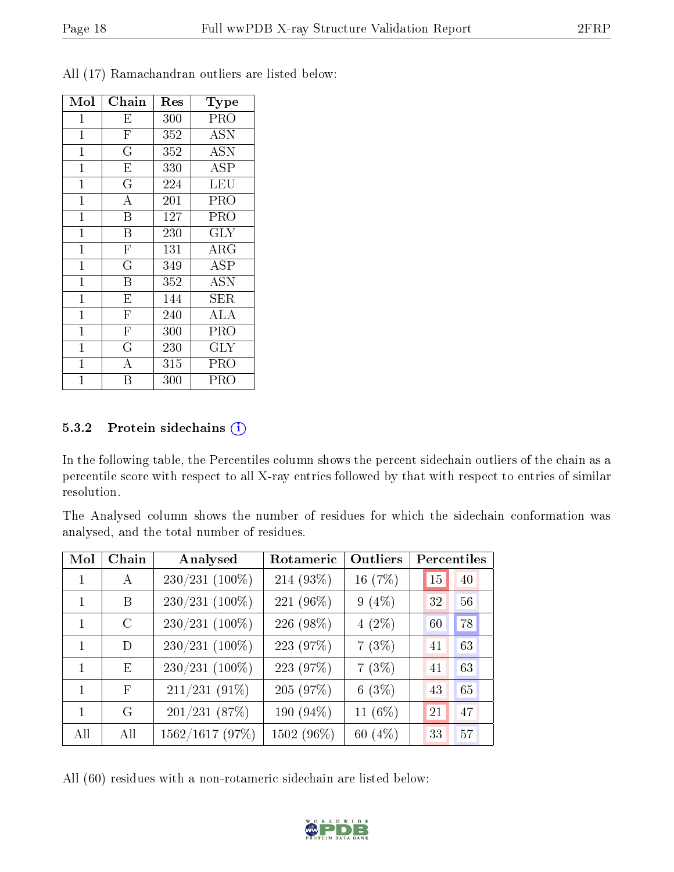| Mol            | Chain                   | $\operatorname{Res}% \left( \mathcal{N}\right) \equiv\operatorname{Res}(\mathcal{N}_{0},\mathcal{N}_{0})$ | Type                 |
|----------------|-------------------------|-----------------------------------------------------------------------------------------------------------|----------------------|
| $\mathbf{1}$   | E                       | 300                                                                                                       | <b>PRO</b>           |
| $\mathbf{1}$   | $\overline{\mathrm{F}}$ | 352                                                                                                       | <b>ASN</b>           |
| $\mathbf 1$    | $\overline{\mathrm{G}}$ | 352                                                                                                       | <b>ASN</b>           |
| $\mathbf 1$    | $\mathbf E$             | 330                                                                                                       | ASP                  |
| $\overline{1}$ | $\overline{\rm G}$      | 224                                                                                                       | LEU                  |
| $\mathbf{1}$   | $\overline{\rm A}$      | 201                                                                                                       | PRO                  |
| $\mathbf{1}$   | $\overline{\mathrm{B}}$ | 127                                                                                                       | PRO                  |
| $\mathbf{1}$   | $\overline{\mathrm{B}}$ | 230                                                                                                       | $\rm GLY$            |
| $\mathbf{1}$   | $\mathbf F$             | 131                                                                                                       | $\rm{ARG}$           |
| $\mathbf{1}$   | $\overline{\mathrm{G}}$ | 349                                                                                                       | ASP                  |
| $\mathbf{1}$   | $\overline{B}$          | 352                                                                                                       | <b>ASN</b>           |
| $\mathbf{1}$   | $\overline{\mathrm{E}}$ | 144                                                                                                       | SER                  |
| $\overline{1}$ | $\overline{\mathrm{F}}$ | 240                                                                                                       | $\overline{\rm ALA}$ |
| $\mathbf 1$    | $\overline{\mathrm{F}}$ | 300                                                                                                       | PRO                  |
| $\mathbf 1$    | $\overline{\mathrm{G}}$ | 230                                                                                                       | GLY                  |
| 1              | А                       | 315                                                                                                       | PRO                  |
| 1              | B                       | 300                                                                                                       | PRO                  |

All (17) Ramachandran outliers are listed below:

#### 5.3.2 Protein sidechains  $(i)$

In the following table, the Percentiles column shows the percent sidechain outliers of the chain as a percentile score with respect to all X-ray entries followed by that with respect to entries of similar resolution.

The Analysed column shows the number of residues for which the sidechain conformation was analysed, and the total number of residues.

| Mol          | Chain         | Analysed         | Rotameric  | Outliers | Percentiles |
|--------------|---------------|------------------|------------|----------|-------------|
| $\mathbf{1}$ | А             | $230/231$ (100%) | 214 (93%)  | 16 (7%)  | 15<br>40    |
| 1            | B             | 230/231 (100%)   | 221 (96%)  | $9(4\%)$ | 56<br>32    |
| 1            | $\mathcal{C}$ | $230/231$ (100%) | 226 (98%)  | $4(2\%)$ | 78<br>60    |
| $\mathbf{1}$ | D             | $230/231$ (100%) | 223 (97%)  | 7(3%)    | 63<br>41    |
| $\mathbf{1}$ | E             | 230/231 (100%)   | 223 (97%)  | 7(3%)    | 63<br>41    |
| 1            | $\mathbf{F}$  | $211/231(91\%)$  | 205 (97%)  | 6(3%)    | 65<br>43    |
| 1            | G             | 201/231(87%)     | 190 (94%)  | 11 (6%)  | 47<br>21    |
| All          | All           | 1562/1617 (97%)  | 1502 (96%) | 60 (4%)  | 57<br>33    |

All (60) residues with a non-rotameric sidechain are listed below:

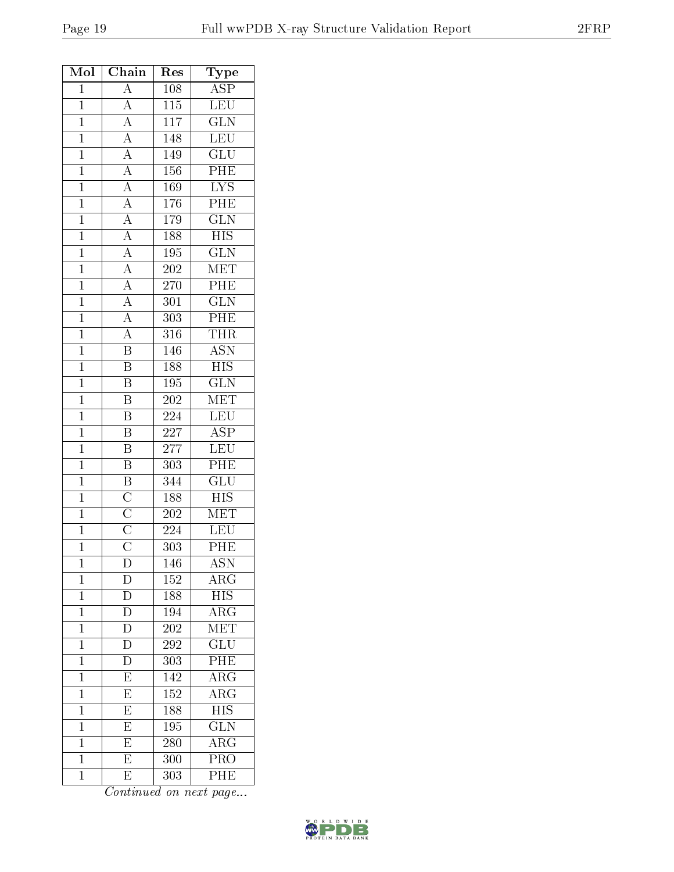| Mol            | Chain                                                                   | Res              | Type                    |
|----------------|-------------------------------------------------------------------------|------------------|-------------------------|
| $\mathbf{1}$   | $\overline{A}$                                                          | 108              | $\overline{\text{ASP}}$ |
| $\mathbf{1}$   | $\overline{A}$                                                          | $\overline{115}$ | LEU                     |
| $\overline{1}$ | $\frac{\overline{A}}{\overline{A}}$                                     | 117              | $\overline{\text{GLN}}$ |
| $\mathbf{1}$   |                                                                         | 148              | $\overline{\text{LEU}}$ |
| $\mathbf{1}$   | $\frac{\overline{A}}{\overline{A}}$                                     | 149              | GLU                     |
| $\overline{1}$ |                                                                         | 156              | PHE                     |
| $\overline{1}$ | $\overline{A}$                                                          | 169              | $\overline{\text{LYS}}$ |
| $\overline{1}$ |                                                                         | 176              | PHE                     |
| $\overline{1}$ |                                                                         | 179              | $\overline{\text{GLN}}$ |
| $\mathbf{1}$   |                                                                         | 188              | <b>HIS</b>              |
| $\overline{1}$ | $\frac{\overline{A}}{\overline{A}}$ $\frac{\overline{A}}{\overline{A}}$ | 195              | $\overline{\text{GLN}}$ |
| $\mathbf{1}$   |                                                                         | 202              | MET                     |
| $\overline{1}$ | $\frac{1}{\mathbf{A}}$                                                  | 270              | PHE                     |
| $\overline{1}$ | $\frac{\overline{A}}{\overline{A}}$                                     | 301              | $\overline{\text{GLN}}$ |
| $\overline{1}$ |                                                                         | 303              | PHE                     |
| $\mathbf{1}$   | $\overline{A}$                                                          | 316              | THR                     |
| $\overline{1}$ | $\overline{\mathbf{B}}$                                                 | 146              | <b>ASN</b>              |
| $\overline{1}$ | $\overline{\mathbf{B}}$                                                 | 188              | $\overline{HIS}$        |
| $\mathbf{1}$   | $\overline{\mathrm{B}}$                                                 | 195              | $\overline{\text{GLN}}$ |
| $\mathbf{1}$   | $\overline{\mathrm{B}}$                                                 | 202              | $\overline{\text{MET}}$ |
| $\mathbf{1}$   | $\overline{\mathrm{B}}$                                                 | 224              | $\overline{\text{LEU}}$ |
| $\mathbf{1}$   | $\overline{\mathrm{B}}$                                                 | 227              | $\overline{\text{ASP}}$ |
| $\overline{1}$ | $\overline{\mathrm{B}}$                                                 | 277              | $\overline{\text{LEU}}$ |
| $\mathbf{1}$   | $\boldsymbol{B}$                                                        | 303              | PHE                     |
| $\mathbf{1}$   | $\boldsymbol{B}$                                                        | 344              | GLU                     |
| $\overline{1}$ |                                                                         | 188              | $\overline{HIS}$        |
| $\overline{1}$ |                                                                         | 202              | $\overline{\text{MET}}$ |
| $\overline{1}$ | $\frac{\overline{\text{C}}}{\overline{\text{C}}}}$                      | 224              | LEU                     |
| $\mathbf 1$    |                                                                         | 303              | PHE                     |
| $\mathbf{1}$   | D                                                                       | 146              | $\overline{\text{ASN}}$ |
| $\mathbf 1$    | D                                                                       | 152              | ${\rm ARG}$             |
| $\overline{1}$ | D                                                                       | 188              | $\overline{HIS}$        |
| $\mathbf{1}$   | $\overline{D}$                                                          | 194              | $\overline{\text{ARG}}$ |
| $\mathbf 1$    | $\overline{\mathrm{D}}$                                                 | $\overline{202}$ | MET                     |
| $\mathbf 1$    | $\overline{\rm D}$                                                      | 292              | $\overline{\text{GLU}}$ |
| $\mathbf 1$    | D                                                                       | 303              | PHE                     |
| $\mathbf{1}$   | $\overline{E}$                                                          | 142              | $\rm{ARG}$              |
| $\mathbf 1$    | $\overline{\mathrm{E}}$                                                 | 152              | $\overline{\rm{ARG}}$   |
| $\mathbf 1$    | $\overline{\mathrm{E}}$                                                 | 188              | $\overline{HIS}$        |
| $\mathbf{1}$   | $\overline{\mathrm{E}}$                                                 | 195              | $\overline{\text{GLN}}$ |
| $\mathbf{1}$   | $\overline{\mathrm{E}}$                                                 | 280              | $\overline{\rm{ARG}}$   |
| $\mathbf{1}$   | $\overline{\mathrm{E}}$                                                 | 300              | $\overline{\text{PRO}}$ |
| $\mathbf 1$    | E                                                                       | 303              | PHE                     |

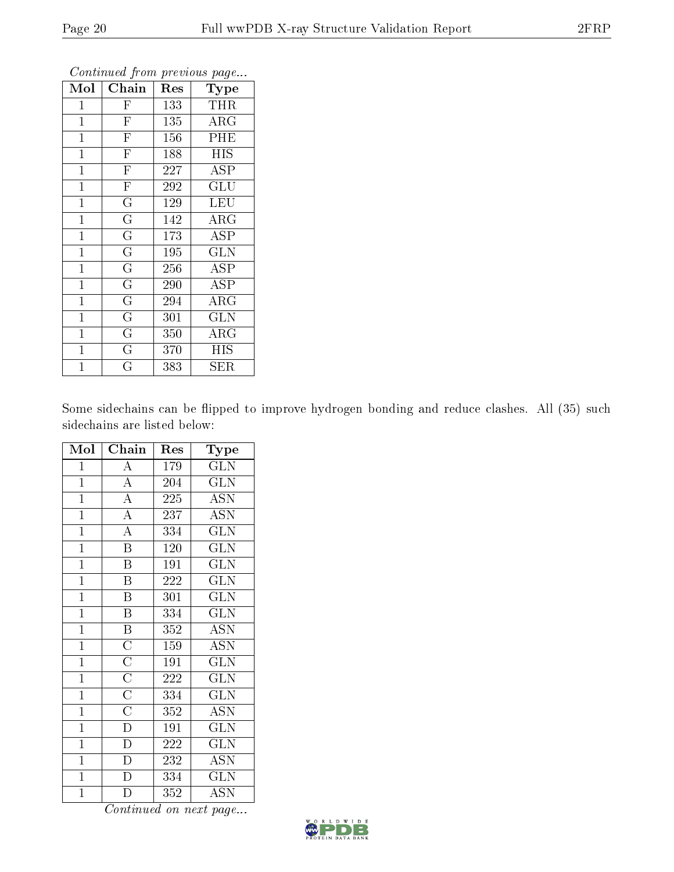| Mol            | Chain                   | Res | Type                    |
|----------------|-------------------------|-----|-------------------------|
| $\mathbf{1}$   | $\mathbf{F}$            | 133 | THR                     |
| $\mathbf{1}$   | $\overline{\mathrm{F}}$ | 135 | $\rm{ARG}$              |
| $\mathbf{1}$   | $\overline{\mathrm{F}}$ | 156 | PHE                     |
| $\mathbf{1}$   | $\overline{\mathrm{F}}$ | 188 | <b>HIS</b>              |
| $\mathbf 1$    | $\overline{\mathrm{F}}$ | 227 | <b>ASP</b>              |
| $\mathbf{1}$   | $\overline{F}$          | 292 | GLU                     |
| $\mathbf{1}$   | $\overline{\mathrm{G}}$ | 129 | <b>LEU</b>              |
| $\mathbf{1}$   | $\overline{\mathrm{G}}$ | 142 | $\rm{ARG}$              |
| $\overline{1}$ | $\overline{\mathrm{G}}$ | 173 | <b>ASP</b>              |
| $\overline{1}$ | $\overline{\mathrm{G}}$ | 195 | $\overline{\text{GLN}}$ |
| $\overline{1}$ | $\overline{\mathrm{G}}$ | 256 | <b>ASP</b>              |
| $\overline{1}$ | $\overline{\mathrm{G}}$ | 290 | <b>ASP</b>              |
| $\mathbf{1}$   | $\overline{\mathrm{G}}$ | 294 | $\rm{ARG}$              |
| $\mathbf{1}$   | $\overline{\rm G}$      | 301 | <b>GLN</b>              |
| 1              | $\overline{\mathrm{G}}$ | 350 | ${\rm ARG}$             |
| $\mathbf 1$    | G                       | 370 | HIS                     |
| $\overline{1}$ | G                       | 383 | ${\rm SER}$             |

Some sidechains can be flipped to improve hydrogen bonding and reduce clashes. All (35) such sidechains are listed below:

| Mol            | Chain                               | Res | Type                      |  |
|----------------|-------------------------------------|-----|---------------------------|--|
| $\mathbf{1}$   | $\overline{A}$                      | 179 | <b>GLN</b>                |  |
| $\overline{1}$ | $\overline{A}$                      | 204 | $\overline{\text{GLN}}$   |  |
| $\overline{1}$ | $\overline{A}$                      | 225 | <b>ASN</b>                |  |
| $\mathbf{1}$   | $\overline{A}$                      | 237 | $\overline{\mathrm{ASN}}$ |  |
| $\overline{1}$ | $\overline{A}$                      | 334 | $\rm GLN$                 |  |
| $\overline{1}$ | $\overline{\mathrm{B}}$             | 120 | <b>GLN</b>                |  |
| $\overline{1}$ | $\overline{\mathrm{B}}$             | 191 | $\overline{\text{GLN}}$   |  |
| $\overline{1}$ | $\overline{\mathrm{B}}$             | 222 | GLN                       |  |
| $\overline{1}$ | $\overline{\mathrm{B}}$             | 301 | $\overline{\text{GLN}}$   |  |
| $\mathbf{1}$   | $\overline{\mathrm{B}}$             | 334 | $\overline{\text{GLN}}$   |  |
| $\overline{1}$ | $\overline{\mathbf{B}}$             | 352 | <b>ASN</b>                |  |
| $\mathbf{1}$   | $\frac{\overline{C}}{\overline{C}}$ | 159 | <b>ASN</b>                |  |
| $\overline{1}$ |                                     | 191 | $\overline{\text{GLN}}$   |  |
| $\overline{1}$ | $\frac{\overline{C}}{\overline{C}}$ | 222 | $\overline{\text{GLN}}$   |  |
| $\mathbf{1}$   |                                     | 334 | <b>GLN</b>                |  |
| $\mathbf{1}$   | $\overline{C}$                      | 352 | <b>ASN</b>                |  |
| $\overline{1}$ | $\frac{1}{D}$                       | 191 | GLN                       |  |
| $\mathbf{1}$   | $\overline{D}$                      | 222 | <b>GLN</b>                |  |
| $\overline{1}$ | $\overline{D}$                      | 232 | $\overline{\mathrm{ASN}}$ |  |
| $\mathbf{1}$   | $\overline{\rm D}$                  | 334 | <b>GLN</b>                |  |
| $\overline{1}$ | D                                   | 352 | <b>ASN</b>                |  |

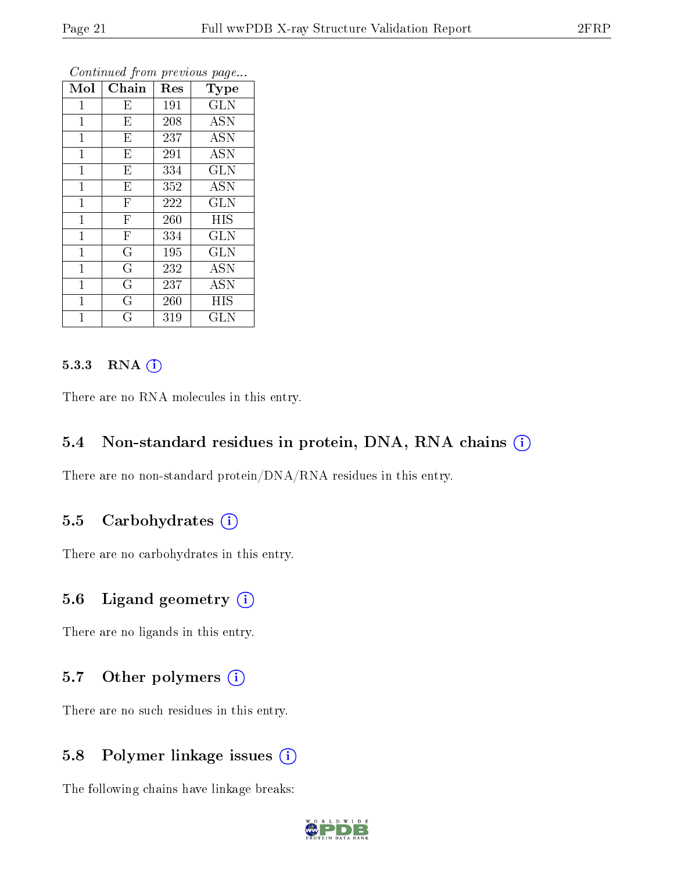| Mol          | Chain                   | Res | Type       |
|--------------|-------------------------|-----|------------|
| $\mathbf 1$  | $E_{\parallel}$         | 191 | <b>GLN</b> |
| $\mathbf{1}$ | E                       | 208 | <b>ASN</b> |
| $\mathbf{1}$ | $\overline{\mathrm{E}}$ | 237 | <b>ASN</b> |
| $\mathbf{1}$ | E                       | 291 | <b>ASN</b> |
| $\mathbf{1}$ | E                       | 334 | <b>GLN</b> |
| $\mathbf 1$  | E                       | 352 | ASN        |
| $\mathbf{1}$ | $\mathbf F$             | 222 | <b>GLN</b> |
| $\mathbf 1$  | $\overline{F}$          | 260 | <b>HIS</b> |
| $\mathbf{1}$ | $\mathbf F$             | 334 | <b>GLN</b> |
| $\mathbf 1$  | $\overline{\mathrm{G}}$ | 195 | GLN        |
| $\mathbf{1}$ | G                       | 232 | <b>ASN</b> |
| $\mathbf{1}$ | $\overline{\mathrm{G}}$ | 237 | <b>ASN</b> |
| $\mathbf{1}$ | G                       | 260 | <b>HIS</b> |
| 1            | Ġ                       | 319 | GLN        |

#### 5.3.3 RNA [O](https://www.wwpdb.org/validation/2017/XrayValidationReportHelp#rna)i

There are no RNA molecules in this entry.

#### 5.4 Non-standard residues in protein, DNA, RNA chains (i)

There are no non-standard protein/DNA/RNA residues in this entry.

#### 5.5 Carbohydrates (i)

There are no carbohydrates in this entry.

### 5.6 Ligand geometry  $(i)$

There are no ligands in this entry.

### 5.7 [O](https://www.wwpdb.org/validation/2017/XrayValidationReportHelp#nonstandard_residues_and_ligands)ther polymers  $(i)$

There are no such residues in this entry.

### 5.8 Polymer linkage issues (i)

The following chains have linkage breaks:

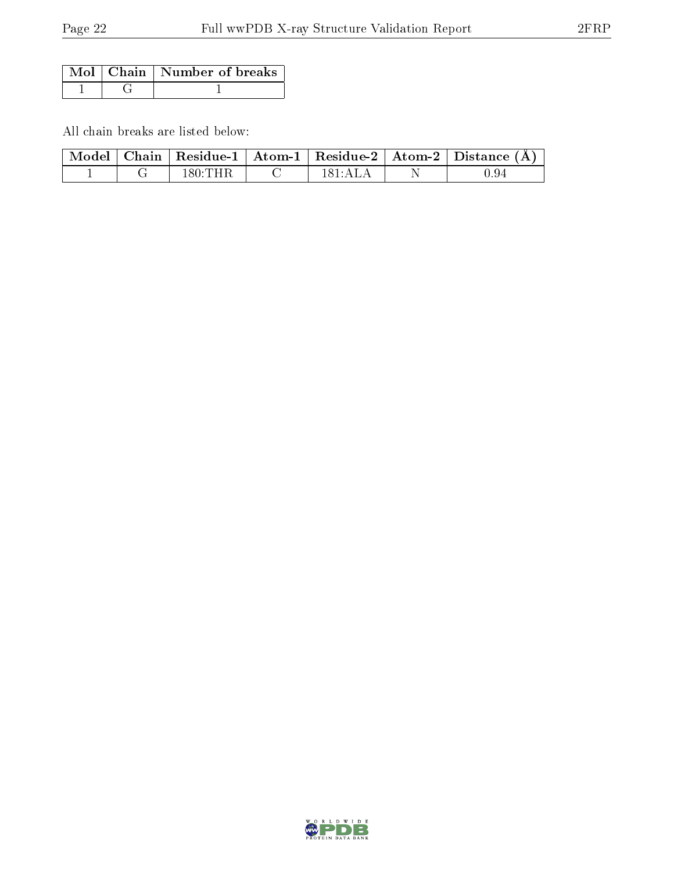|  | Mol   Chain   Number of breaks |
|--|--------------------------------|
|  |                                |

All chain breaks are listed below:

|  |         |                    | $\mid$ Model $\mid$ Chain $\mid$ Residue-1 $\mid$ Atom-1 $\mid$ Residue-2 $\mid$ Atom-2 $\mid$ Distance (Å) |
|--|---------|--------------------|-------------------------------------------------------------------------------------------------------------|
|  | 180:THR | $181 \text{ A}$ LA | 0.94                                                                                                        |